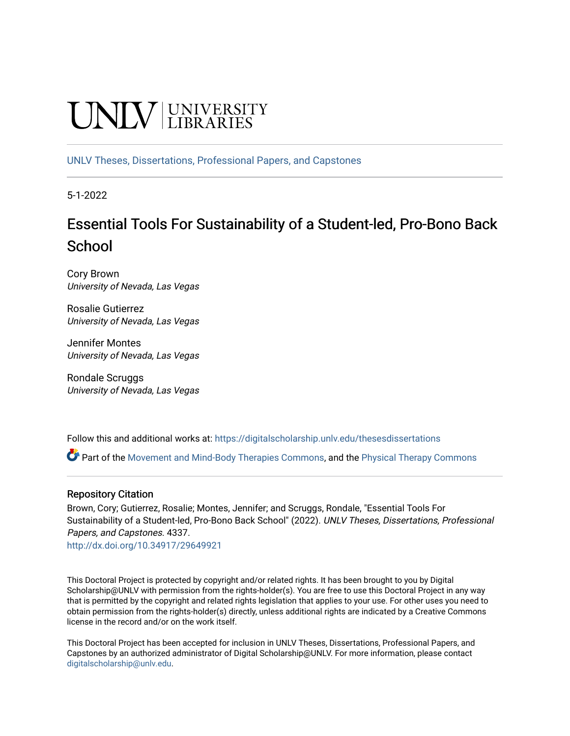# **CINITY** UNIVERSITY

[UNLV Theses, Dissertations, Professional Papers, and Capstones](https://digitalscholarship.unlv.edu/thesesdissertations)

5-1-2022

# Essential Tools For Sustainability of a Student-led, Pro-Bono Back **School**

Cory Brown University of Nevada, Las Vegas

Rosalie Gutierrez University of Nevada, Las Vegas

Jennifer Montes University of Nevada, Las Vegas

Rondale Scruggs University of Nevada, Las Vegas

Follow this and additional works at: [https://digitalscholarship.unlv.edu/thesesdissertations](https://digitalscholarship.unlv.edu/thesesdissertations?utm_source=digitalscholarship.unlv.edu%2Fthesesdissertations%2F4337&utm_medium=PDF&utm_campaign=PDFCoverPages)

 $\bullet$  Part of the [Movement and Mind-Body Therapies Commons](https://network.bepress.com/hgg/discipline/751?utm_source=digitalscholarship.unlv.edu%2Fthesesdissertations%2F4337&utm_medium=PDF&utm_campaign=PDFCoverPages), and the [Physical Therapy Commons](https://network.bepress.com/hgg/discipline/754?utm_source=digitalscholarship.unlv.edu%2Fthesesdissertations%2F4337&utm_medium=PDF&utm_campaign=PDFCoverPages)

#### Repository Citation

Brown, Cory; Gutierrez, Rosalie; Montes, Jennifer; and Scruggs, Rondale, "Essential Tools For Sustainability of a Student-led, Pro-Bono Back School" (2022). UNLV Theses, Dissertations, Professional Papers, and Capstones. 4337.

<http://dx.doi.org/10.34917/29649921>

This Doctoral Project is protected by copyright and/or related rights. It has been brought to you by Digital Scholarship@UNLV with permission from the rights-holder(s). You are free to use this Doctoral Project in any way that is permitted by the copyright and related rights legislation that applies to your use. For other uses you need to obtain permission from the rights-holder(s) directly, unless additional rights are indicated by a Creative Commons license in the record and/or on the work itself.

This Doctoral Project has been accepted for inclusion in UNLV Theses, Dissertations, Professional Papers, and Capstones by an authorized administrator of Digital Scholarship@UNLV. For more information, please contact [digitalscholarship@unlv.edu](mailto:digitalscholarship@unlv.edu).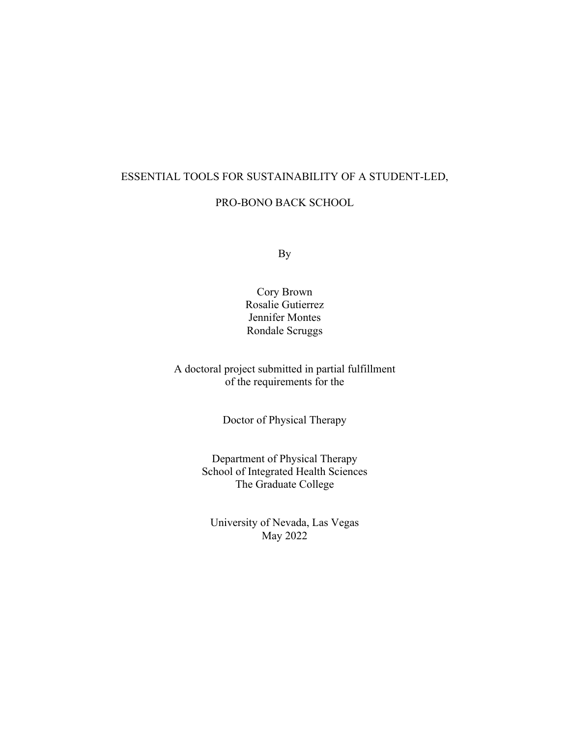#### ESSENTIAL TOOLS FOR SUSTAINABILITY OF A STUDENT-LED,

#### PRO-BONO BACK SCHOOL

By

Cory Brown Rosalie Gutierrez Jennifer Montes Rondale Scruggs

A doctoral project submitted in partial fulfillment of the requirements for the

Doctor of Physical Therapy

Department of Physical Therapy School of Integrated Health Sciences The Graduate College

University of Nevada, Las Vegas May 2022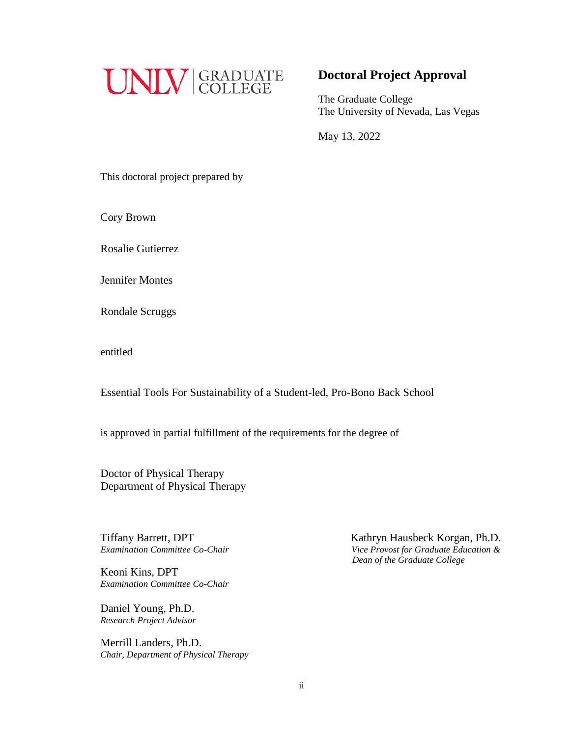

## **Doctoral Project Approval**

The Graduate College The University of Nevada, Las Vegas

May 13, 2022

This doctoral project prepared by

Cory Brown

Rosalie Gutierrez

Jennifer Montes

Rondale Scruggs

entitled

Essential Tools For Sustainability of a Student-led, Pro-Bono Back School

is approved in partial fulfillment of the requirements for the degree of

Doctor of Physical Therapy Department of Physical Therapy

**Tiffany Barrett, DPT** 

Keoni Kins, DPT *Examination Committee Co-Chair*

Daniel Young, Ph.D. *Research Project Advisor*

Merrill Landers, Ph.D. *Chair, Department of Physical Therapy*

Kathryn Hausbeck Korgan, Ph.D. *Examination Committee Co-Chair Vice Provost for Graduate Education & Dean of the Graduate College*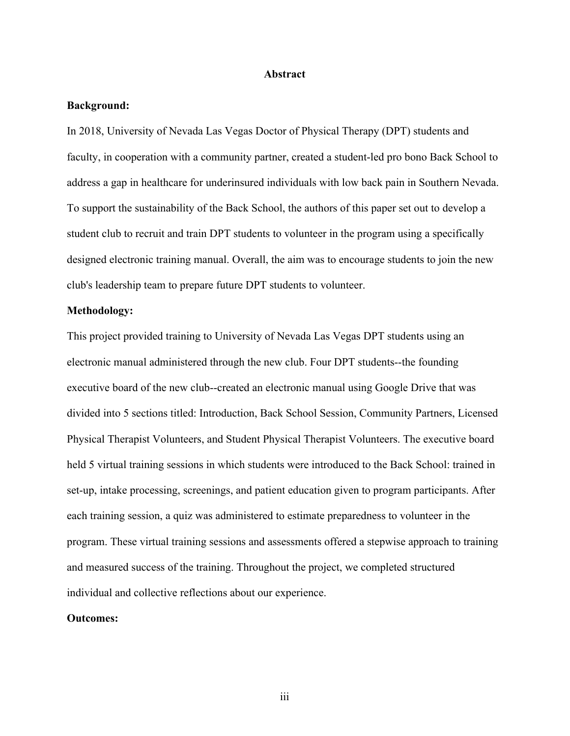#### **Abstract**

#### **Background:**

In 2018, University of Nevada Las Vegas Doctor of Physical Therapy (DPT) students and faculty, in cooperation with a community partner, created a student-led pro bono Back School to address a gap in healthcare for underinsured individuals with low back pain in Southern Nevada. To support the sustainability of the Back School, the authors of this paper set out to develop a student club to recruit and train DPT students to volunteer in the program using a specifically designed electronic training manual. Overall, the aim was to encourage students to join the new club's leadership team to prepare future DPT students to volunteer.

#### **Methodology:**

This project provided training to University of Nevada Las Vegas DPT students using an electronic manual administered through the new club. Four DPT students--the founding executive board of the new club--created an electronic manual using Google Drive that was divided into 5 sections titled: Introduction, Back School Session, Community Partners, Licensed Physical Therapist Volunteers, and Student Physical Therapist Volunteers. The executive board held 5 virtual training sessions in which students were introduced to the Back School: trained in set-up, intake processing, screenings, and patient education given to program participants. After each training session, a quiz was administered to estimate preparedness to volunteer in the program. These virtual training sessions and assessments offered a stepwise approach to training and measured success of the training. Throughout the project, we completed structured individual and collective reflections about our experience.

#### **Outcomes:**

iii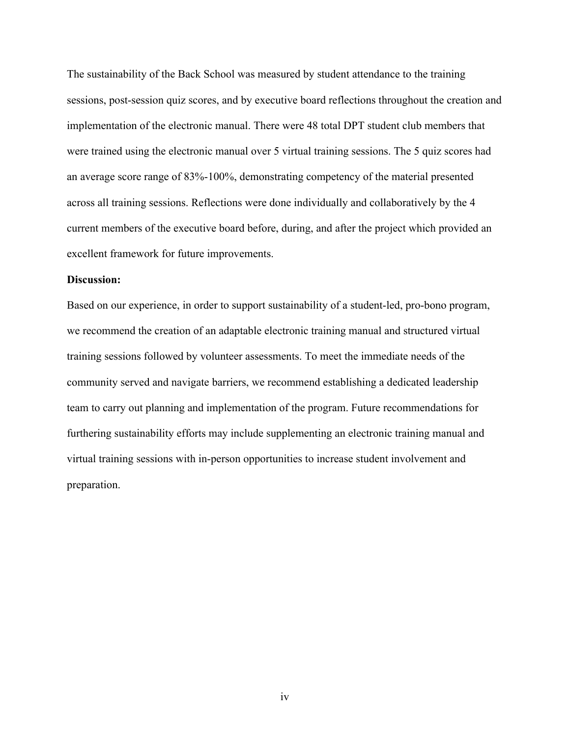The sustainability of the Back School was measured by student attendance to the training sessions, post-session quiz scores, and by executive board reflections throughout the creation and implementation of the electronic manual. There were 48 total DPT student club members that were trained using the electronic manual over 5 virtual training sessions. The 5 quiz scores had an average score range of 83%-100%, demonstrating competency of the material presented across all training sessions. Reflections were done individually and collaboratively by the 4 current members of the executive board before, during, and after the project which provided an excellent framework for future improvements.

#### **Discussion:**

Based on our experience, in order to support sustainability of a student-led, pro-bono program, we recommend the creation of an adaptable electronic training manual and structured virtual training sessions followed by volunteer assessments. To meet the immediate needs of the community served and navigate barriers, we recommend establishing a dedicated leadership team to carry out planning and implementation of the program. Future recommendations for furthering sustainability efforts may include supplementing an electronic training manual and virtual training sessions with in-person opportunities to increase student involvement and preparation.

iv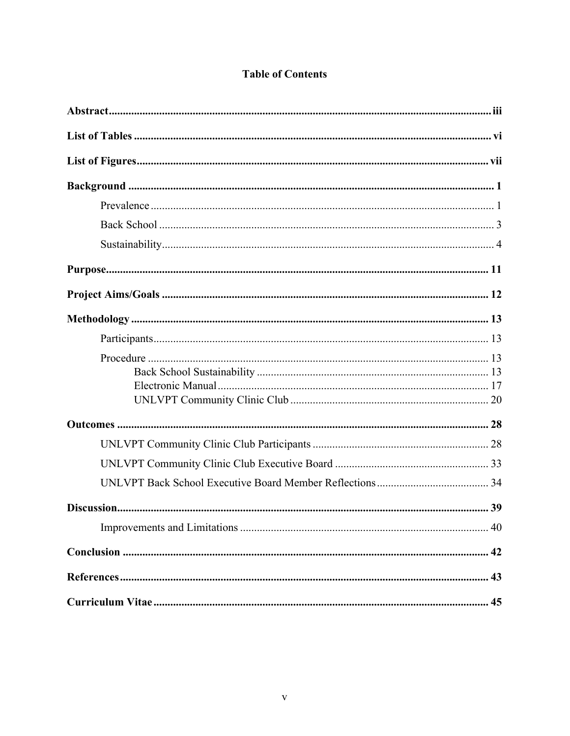|  | <b>Table of Contents</b> |
|--|--------------------------|
|  |                          |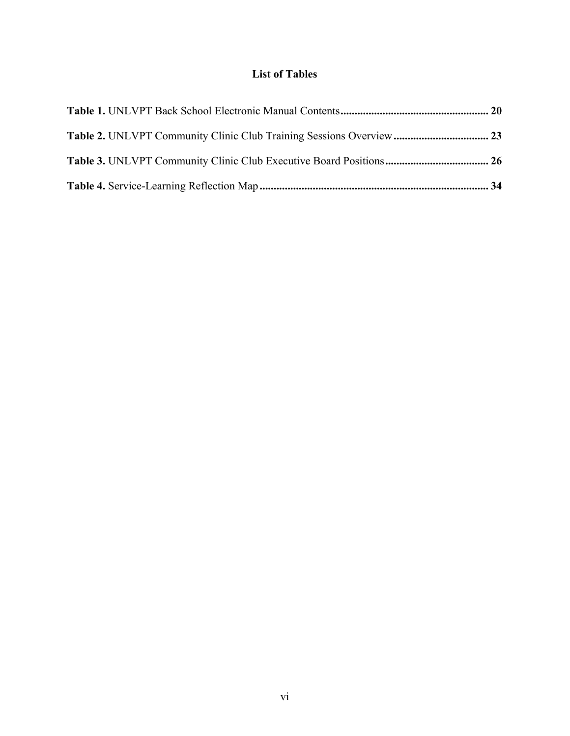# **List of Tables**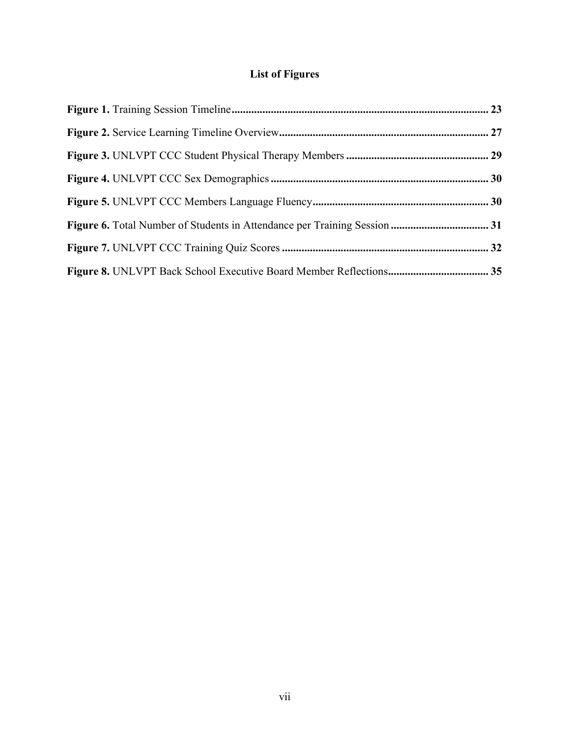# **List of Figures**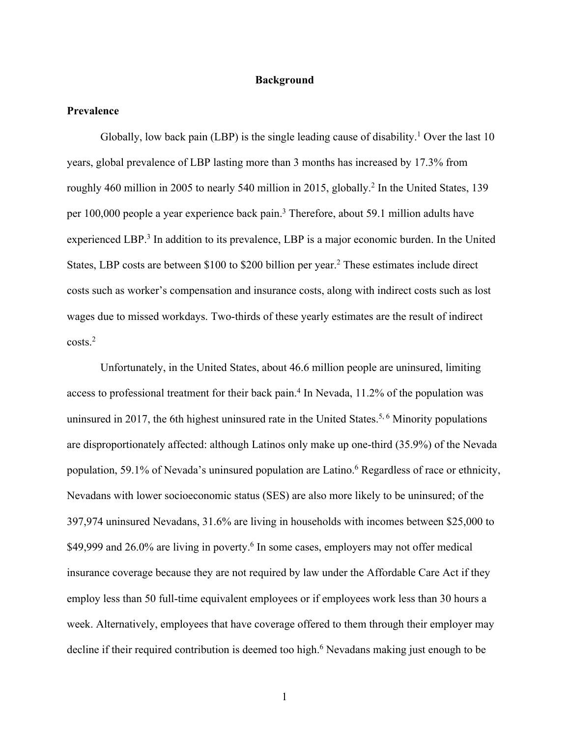#### **Background**

#### **Prevalence**

Globally, low back pain (LBP) is the single leading cause of disability.<sup>1</sup> Over the last 10 years, global prevalence of LBP lasting more than 3 months has increased by 17.3% from roughly 460 million in 2005 to nearly 540 million in 2015, globally.<sup>2</sup> In the United States, 139 per 100,000 people a year experience back pain.3 Therefore, about 59.1 million adults have experienced LBP.<sup>3</sup> In addition to its prevalence, LBP is a major economic burden. In the United States, LBP costs are between \$100 to \$200 billion per year.<sup>2</sup> These estimates include direct costs such as worker's compensation and insurance costs, along with indirect costs such as lost wages due to missed workdays. Two-thirds of these yearly estimates are the result of indirect costs.2

Unfortunately, in the United States, about 46.6 million people are uninsured, limiting access to professional treatment for their back pain.<sup>4</sup> In Nevada, 11.2% of the population was uninsured in 2017, the 6th highest uninsured rate in the United States.<sup>5, 6</sup> Minority populations are disproportionately affected: although Latinos only make up one-third (35.9%) of the Nevada population, 59.1% of Nevada's uninsured population are Latino.<sup>6</sup> Regardless of race or ethnicity, Nevadans with lower socioeconomic status (SES) are also more likely to be uninsured; of the 397,974 uninsured Nevadans, 31.6% are living in households with incomes between \$25,000 to \$49,999 and 26.0% are living in poverty.<sup>6</sup> In some cases, employers may not offer medical insurance coverage because they are not required by law under the Affordable Care Act if they employ less than 50 full-time equivalent employees or if employees work less than 30 hours a week. Alternatively, employees that have coverage offered to them through their employer may decline if their required contribution is deemed too high.<sup>6</sup> Nevadans making just enough to be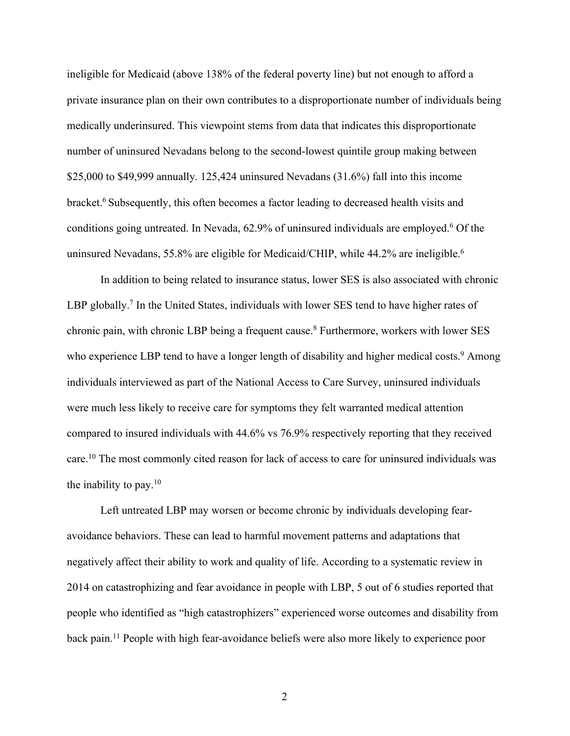ineligible for Medicaid (above 138% of the federal poverty line) but not enough to afford a private insurance plan on their own contributes to a disproportionate number of individuals being medically underinsured. This viewpoint stems from data that indicates this disproportionate number of uninsured Nevadans belong to the second-lowest quintile group making between \$25,000 to \$49,999 annually. 125,424 uninsured Nevadans (31.6%) fall into this income bracket.6 Subsequently, this often becomes a factor leading to decreased health visits and conditions going untreated. In Nevada,  $62.9\%$  of uninsured individuals are employed.<sup>6</sup> Of the uninsured Nevadans, 55.8% are eligible for Medicaid/CHIP, while 44.2% are ineligible.<sup>6</sup>

In addition to being related to insurance status, lower SES is also associated with chronic LBP globally.<sup>7</sup> In the United States, individuals with lower SES tend to have higher rates of chronic pain, with chronic LBP being a frequent cause.<sup>8</sup> Furthermore, workers with lower SES who experience LBP tend to have a longer length of disability and higher medical costs.<sup>9</sup> Among individuals interviewed as part of the National Access to Care Survey, uninsured individuals were much less likely to receive care for symptoms they felt warranted medical attention compared to insured individuals with 44.6% vs 76.9% respectively reporting that they received care.10 The most commonly cited reason for lack of access to care for uninsured individuals was the inability to pay. $10$ 

Left untreated LBP may worsen or become chronic by individuals developing fearavoidance behaviors. These can lead to harmful movement patterns and adaptations that negatively affect their ability to work and quality of life. According to a systematic review in 2014 on catastrophizing and fear avoidance in people with LBP, 5 out of 6 studies reported that people who identified as "high catastrophizers" experienced worse outcomes and disability from back pain.<sup>11</sup> People with high fear-avoidance beliefs were also more likely to experience poor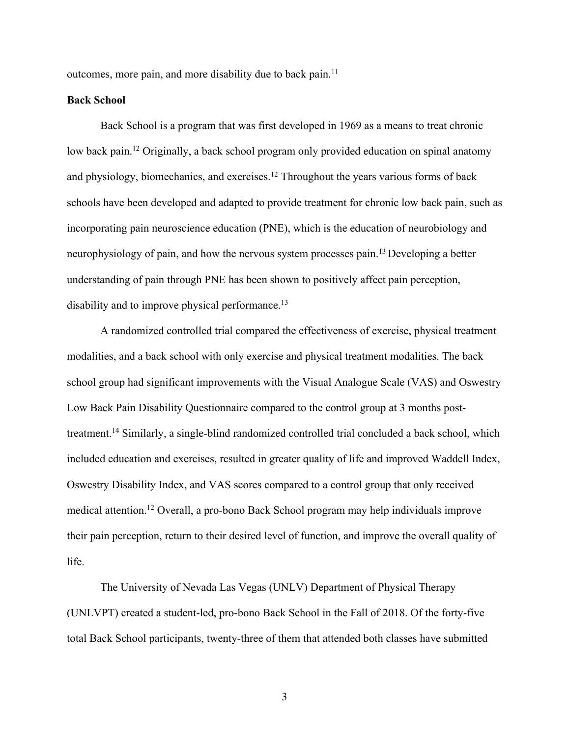outcomes, more pain, and more disability due to back pain.<sup>11</sup>

#### **Back School**

Back School is a program that was first developed in 1969 as a means to treat chronic low back pain.<sup>12</sup> Originally, a back school program only provided education on spinal anatomy and physiology, biomechanics, and exercises.<sup>12</sup> Throughout the years various forms of back schools have been developed and adapted to provide treatment for chronic low back pain, such as incorporating pain neuroscience education (PNE), which is the education of neurobiology and neurophysiology of pain, and how the nervous system processes pain.<sup>13</sup> Developing a better understanding of pain through PNE has been shown to positively affect pain perception, disability and to improve physical performance.<sup>13</sup>

A randomized controlled trial compared the effectiveness of exercise, physical treatment modalities, and a back school with only exercise and physical treatment modalities. The back school group had significant improvements with the Visual Analogue Scale (VAS) and Oswestry Low Back Pain Disability Questionnaire compared to the control group at 3 months posttreatment.<sup>14</sup> Similarly, a single-blind randomized controlled trial concluded a back school, which included education and exercises, resulted in greater quality of life and improved Waddell Index, Oswestry Disability Index, and VAS scores compared to a control group that only received medical attention.12 Overall, a pro-bono Back School program may help individuals improve their pain perception, return to their desired level of function, and improve the overall quality of life.

The University of Nevada Las Vegas (UNLV) Department of Physical Therapy (UNLVPT) created a student-led, pro-bono Back School in the Fall of 2018. Of the forty-five total Back School participants, twenty-three of them that attended both classes have submitted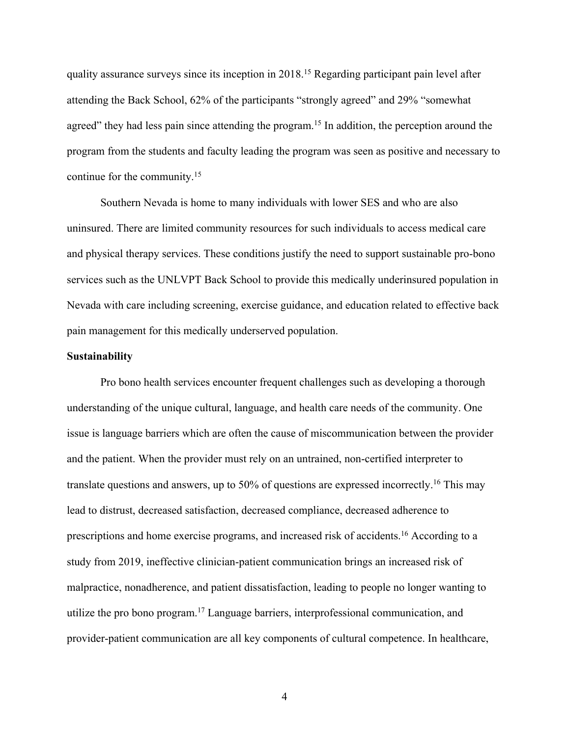quality assurance surveys since its inception in 2018.<sup>15</sup> Regarding participant pain level after attending the Back School, 62% of the participants "strongly agreed" and 29% "somewhat agreed" they had less pain since attending the program.<sup>15</sup> In addition, the perception around the program from the students and faculty leading the program was seen as positive and necessary to continue for the community.15

Southern Nevada is home to many individuals with lower SES and who are also uninsured. There are limited community resources for such individuals to access medical care and physical therapy services. These conditions justify the need to support sustainable pro-bono services such as the UNLVPT Back School to provide this medically underinsured population in Nevada with care including screening, exercise guidance, and education related to effective back pain management for this medically underserved population.

#### **Sustainability**

Pro bono health services encounter frequent challenges such as developing a thorough understanding of the unique cultural, language, and health care needs of the community. One issue is language barriers which are often the cause of miscommunication between the provider and the patient. When the provider must rely on an untrained, non-certified interpreter to translate questions and answers, up to 50% of questions are expressed incorrectly.<sup>16</sup> This may lead to distrust, decreased satisfaction, decreased compliance, decreased adherence to prescriptions and home exercise programs, and increased risk of accidents.16 According to a study from 2019, ineffective clinician-patient communication brings an increased risk of malpractice, nonadherence, and patient dissatisfaction, leading to people no longer wanting to utilize the pro bono program.17 Language barriers, interprofessional communication, and provider-patient communication are all key components of cultural competence. In healthcare,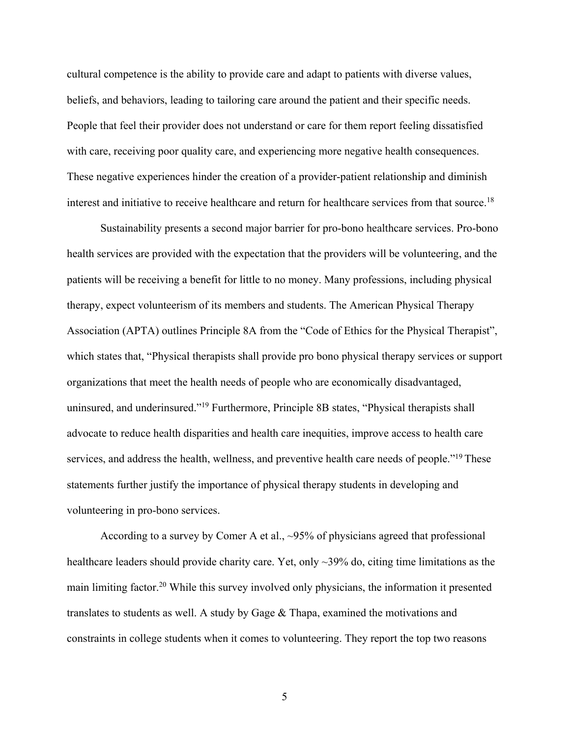cultural competence is the ability to provide care and adapt to patients with diverse values, beliefs, and behaviors, leading to tailoring care around the patient and their specific needs. People that feel their provider does not understand or care for them report feeling dissatisfied with care, receiving poor quality care, and experiencing more negative health consequences. These negative experiences hinder the creation of a provider-patient relationship and diminish interest and initiative to receive healthcare and return for healthcare services from that source.<sup>18</sup>

Sustainability presents a second major barrier for pro-bono healthcare services. Pro-bono health services are provided with the expectation that the providers will be volunteering, and the patients will be receiving a benefit for little to no money. Many professions, including physical therapy, expect volunteerism of its members and students. The American Physical Therapy Association (APTA) outlines Principle 8A from the "Code of Ethics for the Physical Therapist", which states that, "Physical therapists shall provide pro bono physical therapy services or support organizations that meet the health needs of people who are economically disadvantaged, uninsured, and underinsured."19 Furthermore, Principle 8B states, "Physical therapists shall advocate to reduce health disparities and health care inequities, improve access to health care services, and address the health, wellness, and preventive health care needs of people."<sup>19</sup> These statements further justify the importance of physical therapy students in developing and volunteering in pro-bono services.

According to a survey by Comer A et al., ~95% of physicians agreed that professional healthcare leaders should provide charity care. Yet, only ~39% do, citing time limitations as the main limiting factor.20 While this survey involved only physicians, the information it presented translates to students as well. A study by Gage & Thapa, examined the motivations and constraints in college students when it comes to volunteering. They report the top two reasons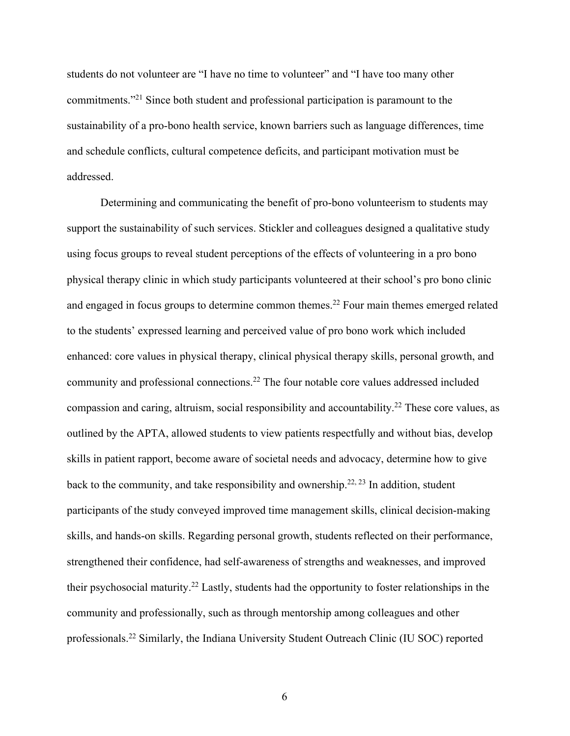students do not volunteer are "I have no time to volunteer" and "I have too many other commitments."21 Since both student and professional participation is paramount to the sustainability of a pro-bono health service, known barriers such as language differences, time and schedule conflicts, cultural competence deficits, and participant motivation must be addressed.

Determining and communicating the benefit of pro-bono volunteerism to students may support the sustainability of such services. Stickler and colleagues designed a qualitative study using focus groups to reveal student perceptions of the effects of volunteering in a pro bono physical therapy clinic in which study participants volunteered at their school's pro bono clinic and engaged in focus groups to determine common themes.<sup>22</sup> Four main themes emerged related to the students' expressed learning and perceived value of pro bono work which included enhanced: core values in physical therapy, clinical physical therapy skills, personal growth, and community and professional connections.22 The four notable core values addressed included compassion and caring, altruism, social responsibility and accountability.22 These core values, as outlined by the APTA, allowed students to view patients respectfully and without bias, develop skills in patient rapport, become aware of societal needs and advocacy, determine how to give back to the community, and take responsibility and ownership.<sup>22, 23</sup> In addition, student participants of the study conveyed improved time management skills, clinical decision-making skills, and hands-on skills. Regarding personal growth, students reflected on their performance, strengthened their confidence, had self-awareness of strengths and weaknesses, and improved their psychosocial maturity.22 Lastly, students had the opportunity to foster relationships in the community and professionally, such as through mentorship among colleagues and other professionals.22 Similarly, the Indiana University Student Outreach Clinic (IU SOC) reported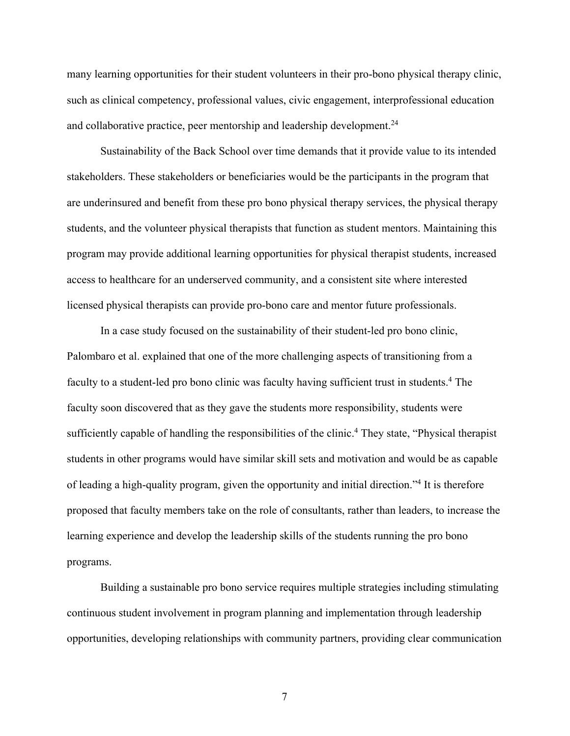many learning opportunities for their student volunteers in their pro-bono physical therapy clinic, such as clinical competency, professional values, civic engagement, interprofessional education and collaborative practice, peer mentorship and leadership development.<sup>24</sup>

Sustainability of the Back School over time demands that it provide value to its intended stakeholders. These stakeholders or beneficiaries would be the participants in the program that are underinsured and benefit from these pro bono physical therapy services, the physical therapy students, and the volunteer physical therapists that function as student mentors. Maintaining this program may provide additional learning opportunities for physical therapist students, increased access to healthcare for an underserved community, and a consistent site where interested licensed physical therapists can provide pro-bono care and mentor future professionals.

In a case study focused on the sustainability of their student-led pro bono clinic, Palombaro et al. explained that one of the more challenging aspects of transitioning from a faculty to a student-led pro bono clinic was faculty having sufficient trust in students.<sup>4</sup> The faculty soon discovered that as they gave the students more responsibility, students were sufficiently capable of handling the responsibilities of the clinic.<sup>4</sup> They state, "Physical therapist" students in other programs would have similar skill sets and motivation and would be as capable of leading a high-quality program, given the opportunity and initial direction."4 It is therefore proposed that faculty members take on the role of consultants, rather than leaders, to increase the learning experience and develop the leadership skills of the students running the pro bono programs.

Building a sustainable pro bono service requires multiple strategies including stimulating continuous student involvement in program planning and implementation through leadership opportunities, developing relationships with community partners, providing clear communication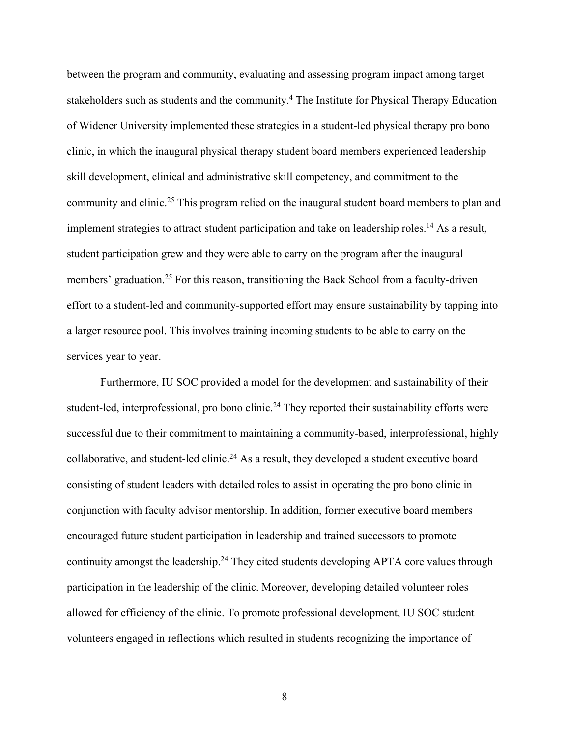between the program and community, evaluating and assessing program impact among target stakeholders such as students and the community.<sup>4</sup> The Institute for Physical Therapy Education of Widener University implemented these strategies in a student-led physical therapy pro bono clinic, in which the inaugural physical therapy student board members experienced leadership skill development, clinical and administrative skill competency, and commitment to the community and clinic.<sup>25</sup> This program relied on the inaugural student board members to plan and implement strategies to attract student participation and take on leadership roles.<sup>14</sup> As a result, student participation grew and they were able to carry on the program after the inaugural members' graduation.<sup>25</sup> For this reason, transitioning the Back School from a faculty-driven effort to a student-led and community-supported effort may ensure sustainability by tapping into a larger resource pool. This involves training incoming students to be able to carry on the services year to year.

Furthermore, IU SOC provided a model for the development and sustainability of their student-led, interprofessional, pro bono clinic.<sup>24</sup> They reported their sustainability efforts were successful due to their commitment to maintaining a community-based, interprofessional, highly collaborative, and student-led clinic.<sup>24</sup> As a result, they developed a student executive board consisting of student leaders with detailed roles to assist in operating the pro bono clinic in conjunction with faculty advisor mentorship. In addition, former executive board members encouraged future student participation in leadership and trained successors to promote continuity amongst the leadership.<sup>24</sup> They cited students developing APTA core values through participation in the leadership of the clinic. Moreover, developing detailed volunteer roles allowed for efficiency of the clinic. To promote professional development, IU SOC student volunteers engaged in reflections which resulted in students recognizing the importance of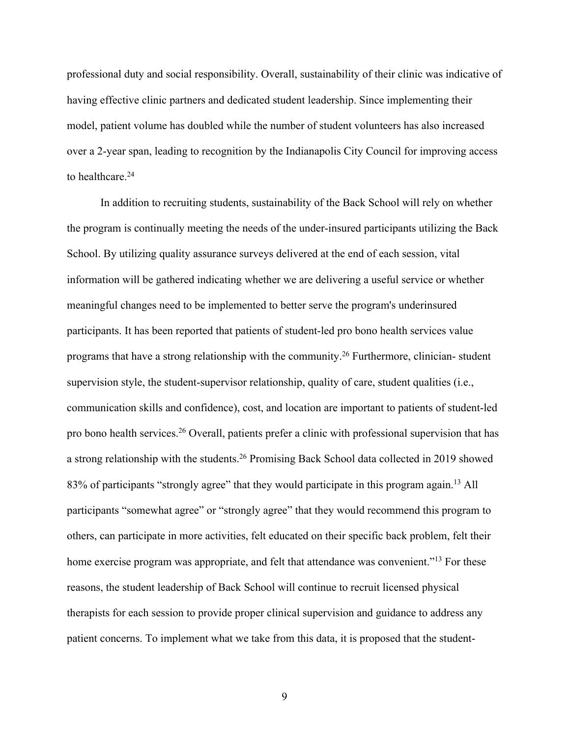professional duty and social responsibility. Overall, sustainability of their clinic was indicative of having effective clinic partners and dedicated student leadership. Since implementing their model, patient volume has doubled while the number of student volunteers has also increased over a 2-year span, leading to recognition by the Indianapolis City Council for improving access to healthcare.<sup>24</sup>

In addition to recruiting students, sustainability of the Back School will rely on whether the program is continually meeting the needs of the under-insured participants utilizing the Back School. By utilizing quality assurance surveys delivered at the end of each session, vital information will be gathered indicating whether we are delivering a useful service or whether meaningful changes need to be implemented to better serve the program's underinsured participants. It has been reported that patients of student-led pro bono health services value programs that have a strong relationship with the community.<sup>26</sup> Furthermore, clinician-student supervision style, the student-supervisor relationship, quality of care, student qualities (i.e., communication skills and confidence), cost, and location are important to patients of student-led pro bono health services.<sup>26</sup> Overall, patients prefer a clinic with professional supervision that has a strong relationship with the students.<sup>26</sup> Promising Back School data collected in 2019 showed 83% of participants "strongly agree" that they would participate in this program again.<sup>13</sup> All participants "somewhat agree" or "strongly agree" that they would recommend this program to others, can participate in more activities, felt educated on their specific back problem, felt their home exercise program was appropriate, and felt that attendance was convenient."<sup>13</sup> For these reasons, the student leadership of Back School will continue to recruit licensed physical therapists for each session to provide proper clinical supervision and guidance to address any patient concerns. To implement what we take from this data, it is proposed that the student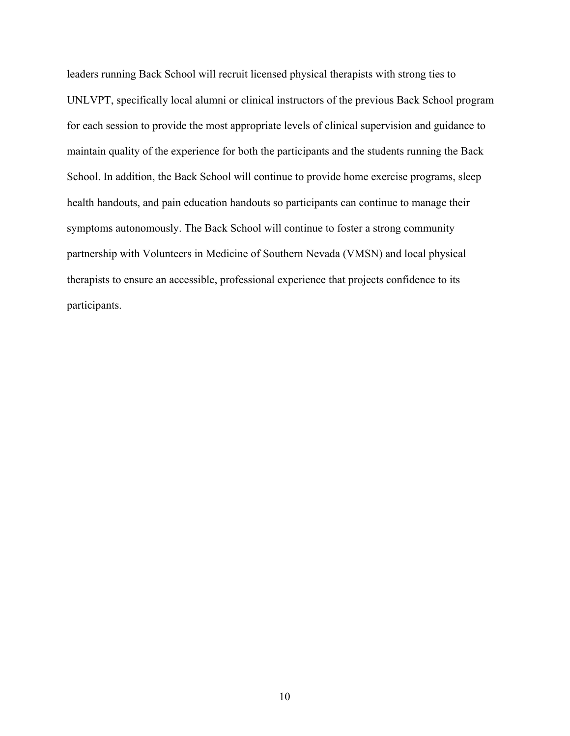leaders running Back School will recruit licensed physical therapists with strong ties to UNLVPT, specifically local alumni or clinical instructors of the previous Back School program for each session to provide the most appropriate levels of clinical supervision and guidance to maintain quality of the experience for both the participants and the students running the Back School. In addition, the Back School will continue to provide home exercise programs, sleep health handouts, and pain education handouts so participants can continue to manage their symptoms autonomously. The Back School will continue to foster a strong community partnership with Volunteers in Medicine of Southern Nevada (VMSN) and local physical therapists to ensure an accessible, professional experience that projects confidence to its participants.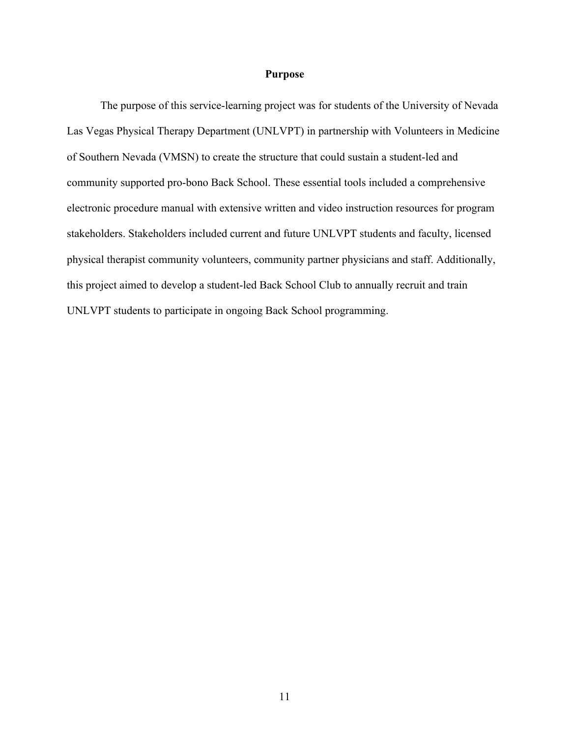#### **Purpose**

The purpose of this service-learning project was for students of the University of Nevada Las Vegas Physical Therapy Department (UNLVPT) in partnership with Volunteers in Medicine of Southern Nevada (VMSN) to create the structure that could sustain a student-led and community supported pro-bono Back School. These essential tools included a comprehensive electronic procedure manual with extensive written and video instruction resources for program stakeholders. Stakeholders included current and future UNLVPT students and faculty, licensed physical therapist community volunteers, community partner physicians and staff. Additionally, this project aimed to develop a student-led Back School Club to annually recruit and train UNLVPT students to participate in ongoing Back School programming.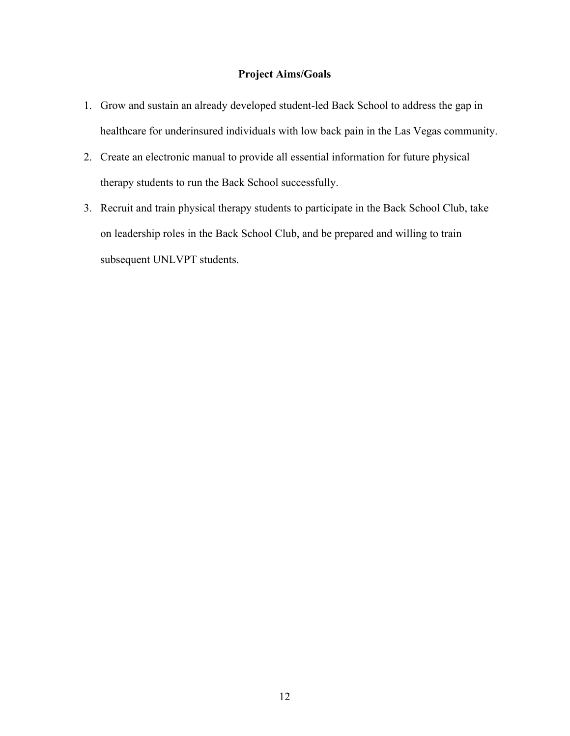### **Project Aims/Goals**

- 1. Grow and sustain an already developed student-led Back School to address the gap in healthcare for underinsured individuals with low back pain in the Las Vegas community.
- 2. Create an electronic manual to provide all essential information for future physical therapy students to run the Back School successfully.
- 3. Recruit and train physical therapy students to participate in the Back School Club, take on leadership roles in the Back School Club, and be prepared and willing to train subsequent UNLVPT students.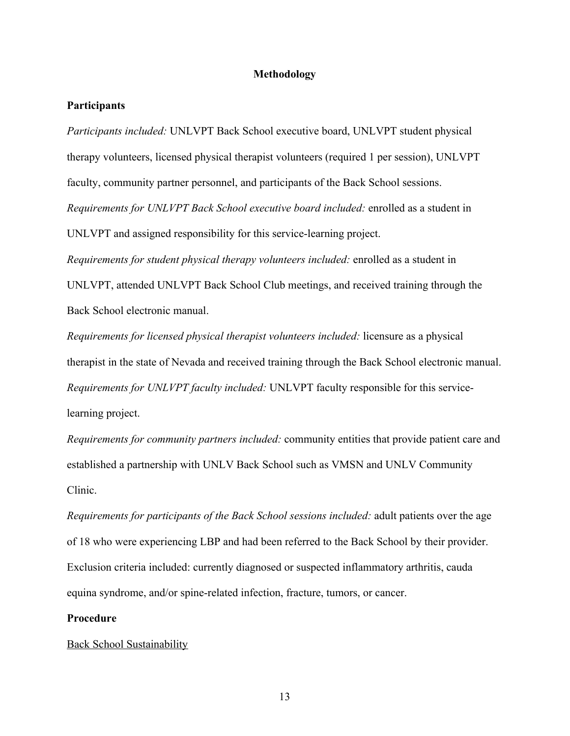#### **Methodology**

#### **Participants**

*Participants included:* UNLVPT Back School executive board, UNLVPT student physical therapy volunteers, licensed physical therapist volunteers (required 1 per session), UNLVPT faculty, community partner personnel, and participants of the Back School sessions. *Requirements for UNLVPT Back School executive board included:* enrolled as a student in UNLVPT and assigned responsibility for this service-learning project. *Requirements for student physical therapy volunteers included:* enrolled as a student in UNLVPT, attended UNLVPT Back School Club meetings, and received training through the

Back School electronic manual.

*Requirements for licensed physical therapist volunteers included:* licensure as a physical therapist in the state of Nevada and received training through the Back School electronic manual. *Requirements for UNLVPT faculty included:* UNLVPT faculty responsible for this servicelearning project.

*Requirements for community partners included:* community entities that provide patient care and established a partnership with UNLV Back School such as VMSN and UNLV Community Clinic.

*Requirements for participants of the Back School sessions included:* adult patients over the age of 18 who were experiencing LBP and had been referred to the Back School by their provider. Exclusion criteria included: currently diagnosed or suspected inflammatory arthritis, cauda equina syndrome, and/or spine-related infection, fracture, tumors, or cancer.

#### **Procedure**

#### Back School Sustainability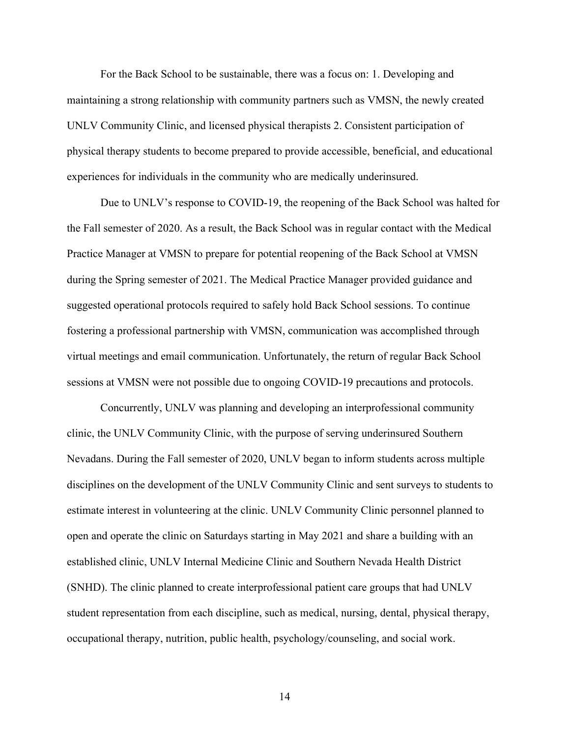For the Back School to be sustainable, there was a focus on: 1. Developing and maintaining a strong relationship with community partners such as VMSN, the newly created UNLV Community Clinic, and licensed physical therapists 2. Consistent participation of physical therapy students to become prepared to provide accessible, beneficial, and educational experiences for individuals in the community who are medically underinsured.

Due to UNLV's response to COVID-19, the reopening of the Back School was halted for the Fall semester of 2020. As a result, the Back School was in regular contact with the Medical Practice Manager at VMSN to prepare for potential reopening of the Back School at VMSN during the Spring semester of 2021. The Medical Practice Manager provided guidance and suggested operational protocols required to safely hold Back School sessions. To continue fostering a professional partnership with VMSN, communication was accomplished through virtual meetings and email communication. Unfortunately, the return of regular Back School sessions at VMSN were not possible due to ongoing COVID-19 precautions and protocols.

Concurrently, UNLV was planning and developing an interprofessional community clinic, the UNLV Community Clinic, with the purpose of serving underinsured Southern Nevadans. During the Fall semester of 2020, UNLV began to inform students across multiple disciplines on the development of the UNLV Community Clinic and sent surveys to students to estimate interest in volunteering at the clinic. UNLV Community Clinic personnel planned to open and operate the clinic on Saturdays starting in May 2021 and share a building with an established clinic, UNLV Internal Medicine Clinic and Southern Nevada Health District (SNHD). The clinic planned to create interprofessional patient care groups that had UNLV student representation from each discipline, such as medical, nursing, dental, physical therapy, occupational therapy, nutrition, public health, psychology/counseling, and social work.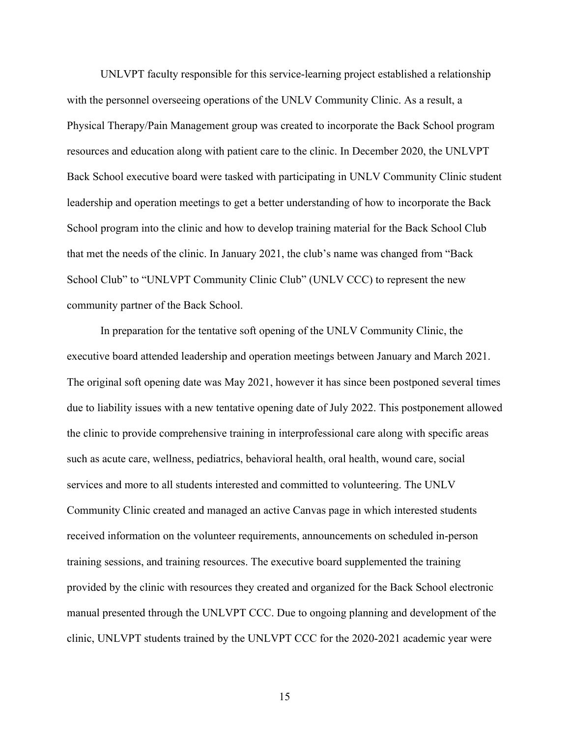UNLVPT faculty responsible for this service-learning project established a relationship with the personnel overseeing operations of the UNLV Community Clinic. As a result, a Physical Therapy/Pain Management group was created to incorporate the Back School program resources and education along with patient care to the clinic. In December 2020, the UNLVPT Back School executive board were tasked with participating in UNLV Community Clinic student leadership and operation meetings to get a better understanding of how to incorporate the Back School program into the clinic and how to develop training material for the Back School Club that met the needs of the clinic. In January 2021, the club's name was changed from "Back School Club" to "UNLVPT Community Clinic Club" (UNLV CCC) to represent the new community partner of the Back School.

In preparation for the tentative soft opening of the UNLV Community Clinic, the executive board attended leadership and operation meetings between January and March 2021. The original soft opening date was May 2021, however it has since been postponed several times due to liability issues with a new tentative opening date of July 2022. This postponement allowed the clinic to provide comprehensive training in interprofessional care along with specific areas such as acute care, wellness, pediatrics, behavioral health, oral health, wound care, social services and more to all students interested and committed to volunteering. The UNLV Community Clinic created and managed an active Canvas page in which interested students received information on the volunteer requirements, announcements on scheduled in-person training sessions, and training resources. The executive board supplemented the training provided by the clinic with resources they created and organized for the Back School electronic manual presented through the UNLVPT CCC. Due to ongoing planning and development of the clinic, UNLVPT students trained by the UNLVPT CCC for the 2020-2021 academic year were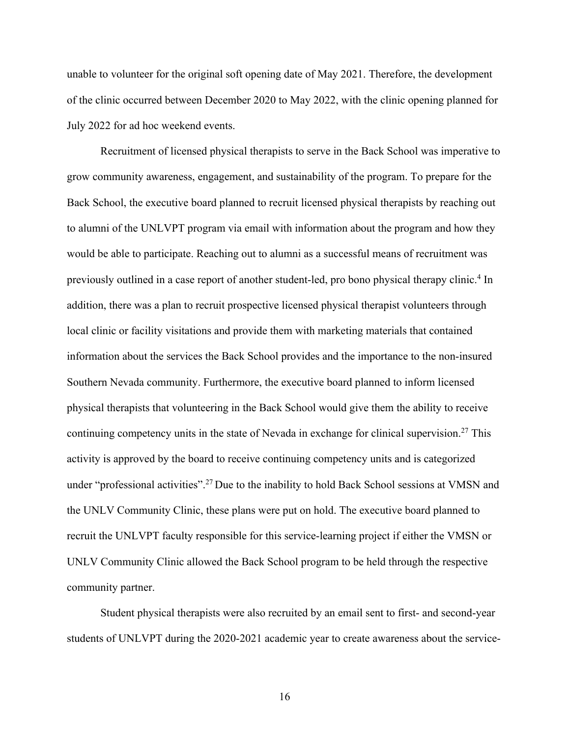unable to volunteer for the original soft opening date of May 2021. Therefore, the development of the clinic occurred between December 2020 to May 2022, with the clinic opening planned for July 2022 for ad hoc weekend events.

Recruitment of licensed physical therapists to serve in the Back School was imperative to grow community awareness, engagement, and sustainability of the program. To prepare for the Back School, the executive board planned to recruit licensed physical therapists by reaching out to alumni of the UNLVPT program via email with information about the program and how they would be able to participate. Reaching out to alumni as a successful means of recruitment was previously outlined in a case report of another student-led, pro bono physical therapy clinic.4 In addition, there was a plan to recruit prospective licensed physical therapist volunteers through local clinic or facility visitations and provide them with marketing materials that contained information about the services the Back School provides and the importance to the non-insured Southern Nevada community. Furthermore, the executive board planned to inform licensed physical therapists that volunteering in the Back School would give them the ability to receive continuing competency units in the state of Nevada in exchange for clinical supervision.<sup>27</sup> This activity is approved by the board to receive continuing competency units and is categorized under "professional activities".27 Due to the inability to hold Back School sessions at VMSN and the UNLV Community Clinic, these plans were put on hold. The executive board planned to recruit the UNLVPT faculty responsible for this service-learning project if either the VMSN or UNLV Community Clinic allowed the Back School program to be held through the respective community partner.

Student physical therapists were also recruited by an email sent to first- and second-year students of UNLVPT during the 2020-2021 academic year to create awareness about the service-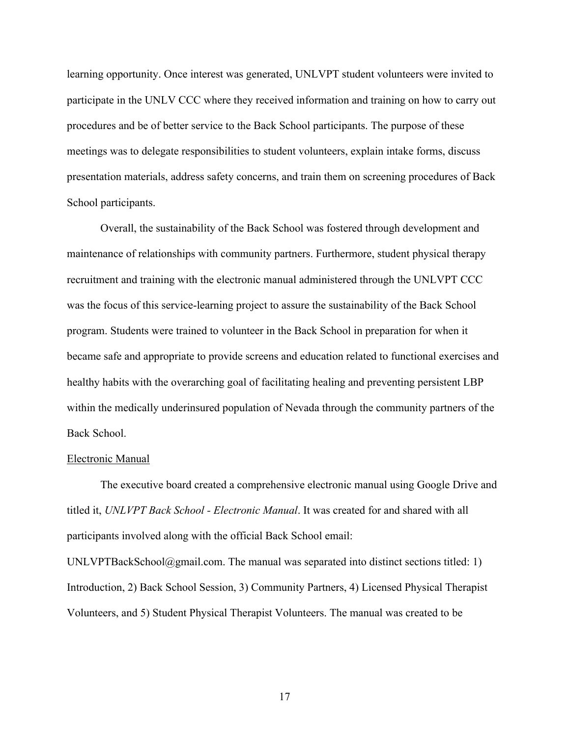learning opportunity. Once interest was generated, UNLVPT student volunteers were invited to participate in the UNLV CCC where they received information and training on how to carry out procedures and be of better service to the Back School participants. The purpose of these meetings was to delegate responsibilities to student volunteers, explain intake forms, discuss presentation materials, address safety concerns, and train them on screening procedures of Back School participants.

Overall, the sustainability of the Back School was fostered through development and maintenance of relationships with community partners. Furthermore, student physical therapy recruitment and training with the electronic manual administered through the UNLVPT CCC was the focus of this service-learning project to assure the sustainability of the Back School program. Students were trained to volunteer in the Back School in preparation for when it became safe and appropriate to provide screens and education related to functional exercises and healthy habits with the overarching goal of facilitating healing and preventing persistent LBP within the medically underinsured population of Nevada through the community partners of the Back School.

#### Electronic Manual

The executive board created a comprehensive electronic manual using Google Drive and titled it, *UNLVPT Back School - Electronic Manual*. It was created for and shared with all participants involved along with the official Back School email:

UNLVPTBackSchool@gmail.com. The manual was separated into distinct sections titled: 1) Introduction, 2) Back School Session, 3) Community Partners, 4) Licensed Physical Therapist Volunteers, and 5) Student Physical Therapist Volunteers. The manual was created to be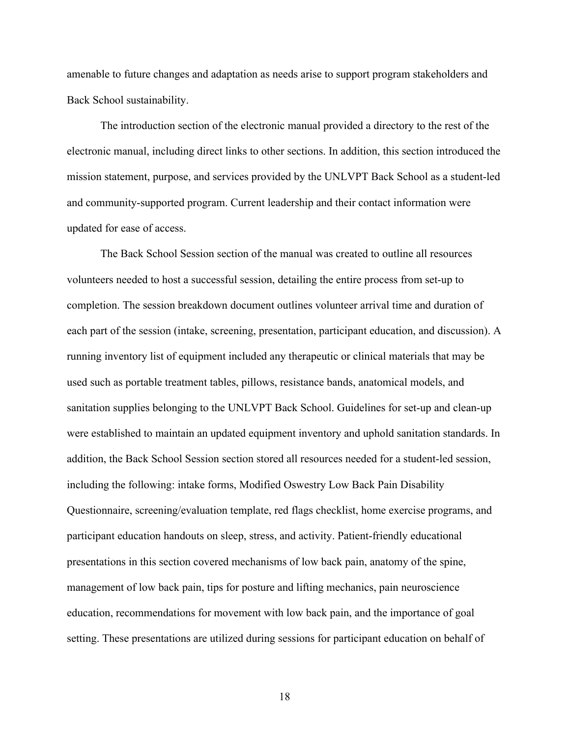amenable to future changes and adaptation as needs arise to support program stakeholders and Back School sustainability.

The introduction section of the electronic manual provided a directory to the rest of the electronic manual, including direct links to other sections. In addition, this section introduced the mission statement, purpose, and services provided by the UNLVPT Back School as a student-led and community-supported program. Current leadership and their contact information were updated for ease of access.

The Back School Session section of the manual was created to outline all resources volunteers needed to host a successful session, detailing the entire process from set-up to completion. The session breakdown document outlines volunteer arrival time and duration of each part of the session (intake, screening, presentation, participant education, and discussion). A running inventory list of equipment included any therapeutic or clinical materials that may be used such as portable treatment tables, pillows, resistance bands, anatomical models, and sanitation supplies belonging to the UNLVPT Back School. Guidelines for set-up and clean-up were established to maintain an updated equipment inventory and uphold sanitation standards. In addition, the Back School Session section stored all resources needed for a student-led session, including the following: intake forms, Modified Oswestry Low Back Pain Disability Questionnaire, screening/evaluation template, red flags checklist, home exercise programs, and participant education handouts on sleep, stress, and activity. Patient-friendly educational presentations in this section covered mechanisms of low back pain, anatomy of the spine, management of low back pain, tips for posture and lifting mechanics, pain neuroscience education, recommendations for movement with low back pain, and the importance of goal setting. These presentations are utilized during sessions for participant education on behalf of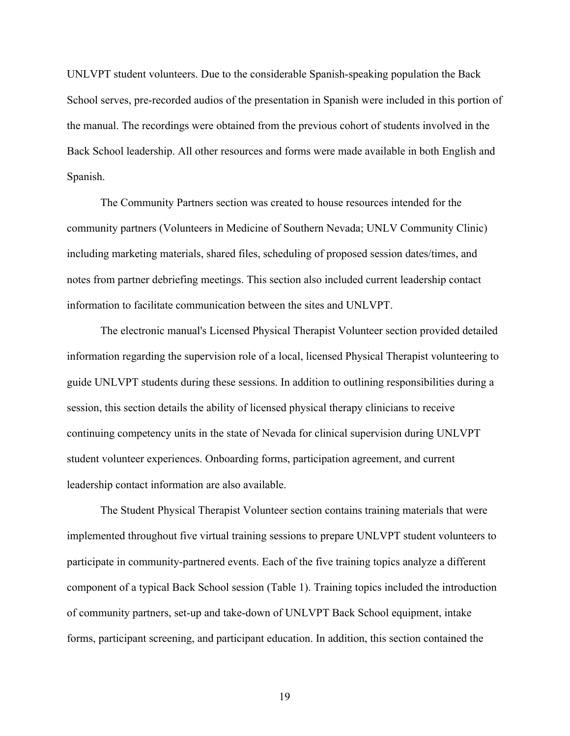UNLVPT student volunteers. Due to the considerable Spanish-speaking population the Back School serves, pre-recorded audios of the presentation in Spanish were included in this portion of the manual. The recordings were obtained from the previous cohort of students involved in the Back School leadership. All other resources and forms were made available in both English and Spanish.

The Community Partners section was created to house resources intended for the community partners (Volunteers in Medicine of Southern Nevada; UNLV Community Clinic) including marketing materials, shared files, scheduling of proposed session dates/times, and notes from partner debriefing meetings. This section also included current leadership contact information to facilitate communication between the sites and UNLVPT.

The electronic manual's Licensed Physical Therapist Volunteer section provided detailed information regarding the supervision role of a local, licensed Physical Therapist volunteering to guide UNLVPT students during these sessions. In addition to outlining responsibilities during a session, this section details the ability of licensed physical therapy clinicians to receive continuing competency units in the state of Nevada for clinical supervision during UNLVPT student volunteer experiences. Onboarding forms, participation agreement, and current leadership contact information are also available.

The Student Physical Therapist Volunteer section contains training materials that were implemented throughout five virtual training sessions to prepare UNLVPT student volunteers to participate in community-partnered events. Each of the five training topics analyze a different component of a typical Back School session (Table 1). Training topics included the introduction of community partners, set-up and take-down of UNLVPT Back School equipment, intake forms, participant screening, and participant education. In addition, this section contained the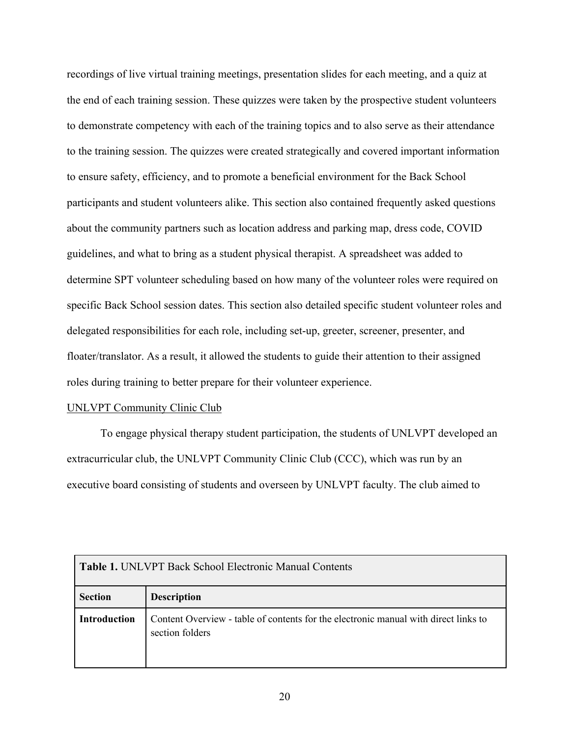recordings of live virtual training meetings, presentation slides for each meeting, and a quiz at the end of each training session. These quizzes were taken by the prospective student volunteers to demonstrate competency with each of the training topics and to also serve as their attendance to the training session. The quizzes were created strategically and covered important information to ensure safety, efficiency, and to promote a beneficial environment for the Back School participants and student volunteers alike. This section also contained frequently asked questions about the community partners such as location address and parking map, dress code, COVID guidelines, and what to bring as a student physical therapist. A spreadsheet was added to determine SPT volunteer scheduling based on how many of the volunteer roles were required on specific Back School session dates. This section also detailed specific student volunteer roles and delegated responsibilities for each role, including set-up, greeter, screener, presenter, and floater/translator. As a result, it allowed the students to guide their attention to their assigned roles during training to better prepare for their volunteer experience.

#### UNLVPT Community Clinic Club

To engage physical therapy student participation, the students of UNLVPT developed an extracurricular club, the UNLVPT Community Clinic Club (CCC), which was run by an executive board consisting of students and overseen by UNLVPT faculty. The club aimed to

| <b>Table 1. UNLVPT Back School Electronic Manual Contents</b> |                                                                                                        |  |  |
|---------------------------------------------------------------|--------------------------------------------------------------------------------------------------------|--|--|
| <b>Section</b>                                                | <b>Description</b>                                                                                     |  |  |
| <b>Introduction</b>                                           | Content Overview - table of contents for the electronic manual with direct links to<br>section folders |  |  |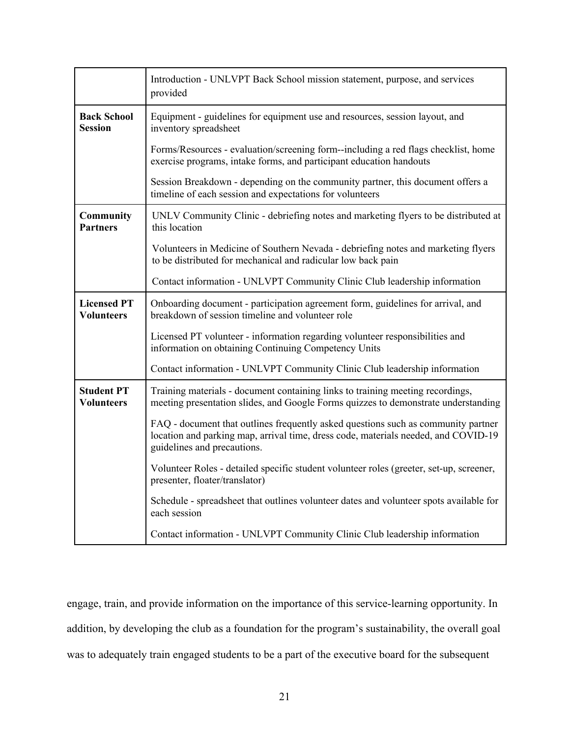|                                         | Introduction - UNLVPT Back School mission statement, purpose, and services<br>provided                                                                                                                 |  |  |
|-----------------------------------------|--------------------------------------------------------------------------------------------------------------------------------------------------------------------------------------------------------|--|--|
| <b>Back School</b><br><b>Session</b>    | Equipment - guidelines for equipment use and resources, session layout, and<br>inventory spreadsheet                                                                                                   |  |  |
|                                         | Forms/Resources - evaluation/screening form--including a red flags checklist, home<br>exercise programs, intake forms, and participant education handouts                                              |  |  |
|                                         | Session Breakdown - depending on the community partner, this document offers a<br>timeline of each session and expectations for volunteers                                                             |  |  |
| <b>Community</b><br><b>Partners</b>     | UNLV Community Clinic - debriefing notes and marketing flyers to be distributed at<br>this location                                                                                                    |  |  |
|                                         | Volunteers in Medicine of Southern Nevada - debriefing notes and marketing flyers<br>to be distributed for mechanical and radicular low back pain                                                      |  |  |
|                                         | Contact information - UNLVPT Community Clinic Club leadership information                                                                                                                              |  |  |
| <b>Licensed PT</b><br><b>Volunteers</b> | Onboarding document - participation agreement form, guidelines for arrival, and<br>breakdown of session timeline and volunteer role                                                                    |  |  |
|                                         | Licensed PT volunteer - information regarding volunteer responsibilities and<br>information on obtaining Continuing Competency Units                                                                   |  |  |
|                                         | Contact information - UNLVPT Community Clinic Club leadership information                                                                                                                              |  |  |
| <b>Student PT</b><br>Volunteers         | Training materials - document containing links to training meeting recordings,<br>meeting presentation slides, and Google Forms quizzes to demonstrate understanding                                   |  |  |
|                                         | FAQ - document that outlines frequently asked questions such as community partner<br>location and parking map, arrival time, dress code, materials needed, and COVID-19<br>guidelines and precautions. |  |  |
|                                         | Volunteer Roles - detailed specific student volunteer roles (greeter, set-up, screener,<br>presenter, floater/translator)                                                                              |  |  |
|                                         | Schedule - spreadsheet that outlines volunteer dates and volunteer spots available for<br>each session                                                                                                 |  |  |
|                                         | Contact information - UNLVPT Community Clinic Club leadership information                                                                                                                              |  |  |

engage, train, and provide information on the importance of this service-learning opportunity. In addition, by developing the club as a foundation for the program's sustainability, the overall goal was to adequately train engaged students to be a part of the executive board for the subsequent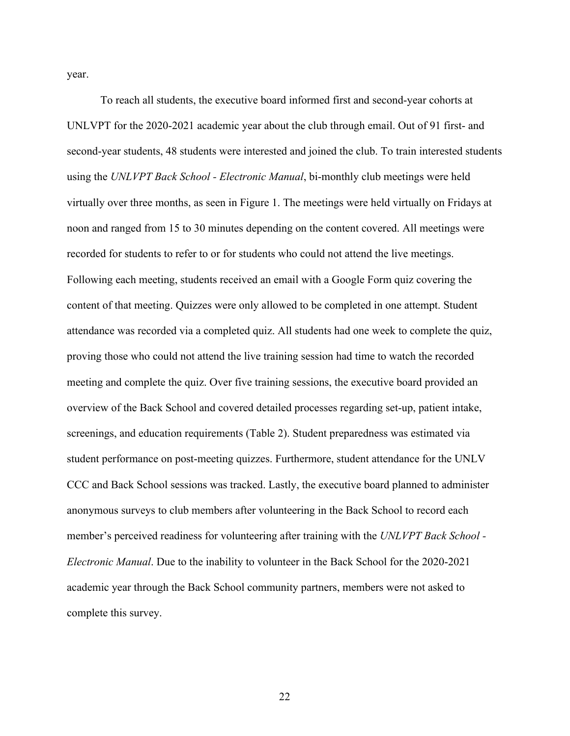year.

To reach all students, the executive board informed first and second-year cohorts at UNLVPT for the 2020-2021 academic year about the club through email. Out of 91 first- and second-year students, 48 students were interested and joined the club. To train interested students using the *UNLVPT Back School - Electronic Manual*, bi-monthly club meetings were held virtually over three months, as seen in Figure 1. The meetings were held virtually on Fridays at noon and ranged from 15 to 30 minutes depending on the content covered. All meetings were recorded for students to refer to or for students who could not attend the live meetings. Following each meeting, students received an email with a Google Form quiz covering the content of that meeting. Quizzes were only allowed to be completed in one attempt. Student attendance was recorded via a completed quiz. All students had one week to complete the quiz, proving those who could not attend the live training session had time to watch the recorded meeting and complete the quiz. Over five training sessions, the executive board provided an overview of the Back School and covered detailed processes regarding set-up, patient intake, screenings, and education requirements (Table 2). Student preparedness was estimated via student performance on post-meeting quizzes. Furthermore, student attendance for the UNLV CCC and Back School sessions was tracked. Lastly, the executive board planned to administer anonymous surveys to club members after volunteering in the Back School to record each member's perceived readiness for volunteering after training with the *UNLVPT Back School - Electronic Manual*. Due to the inability to volunteer in the Back School for the 2020-2021 academic year through the Back School community partners, members were not asked to complete this survey.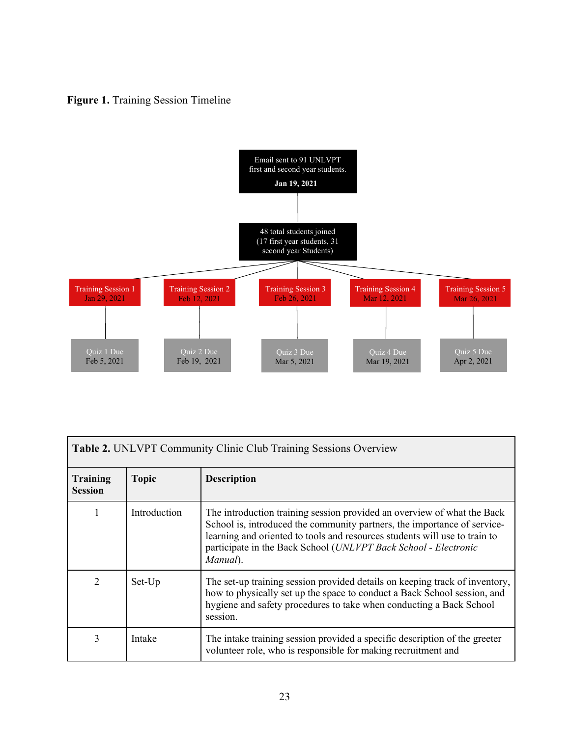## Figure 1. Training Session Timeline



| <b>Table 2. UNLVPT Community Clinic Club Training Sessions Overview</b> |              |                                                                                                                                                                                                                                                                                                                  |  |
|-------------------------------------------------------------------------|--------------|------------------------------------------------------------------------------------------------------------------------------------------------------------------------------------------------------------------------------------------------------------------------------------------------------------------|--|
| <b>Training</b><br><b>Session</b>                                       | <b>Topic</b> | <b>Description</b>                                                                                                                                                                                                                                                                                               |  |
|                                                                         | Introduction | The introduction training session provided an overview of what the Back<br>School is, introduced the community partners, the importance of service-<br>learning and oriented to tools and resources students will use to train to<br>participate in the Back School (UNLVPT Back School - Electronic<br>Manual). |  |
| $\overline{2}$                                                          | Set-Up       | The set-up training session provided details on keeping track of inventory,<br>how to physically set up the space to conduct a Back School session, and<br>hygiene and safety procedures to take when conducting a Back School<br>session.                                                                       |  |
| 3                                                                       | Intake       | The intake training session provided a specific description of the greeter<br>volunteer role, who is responsible for making recruitment and                                                                                                                                                                      |  |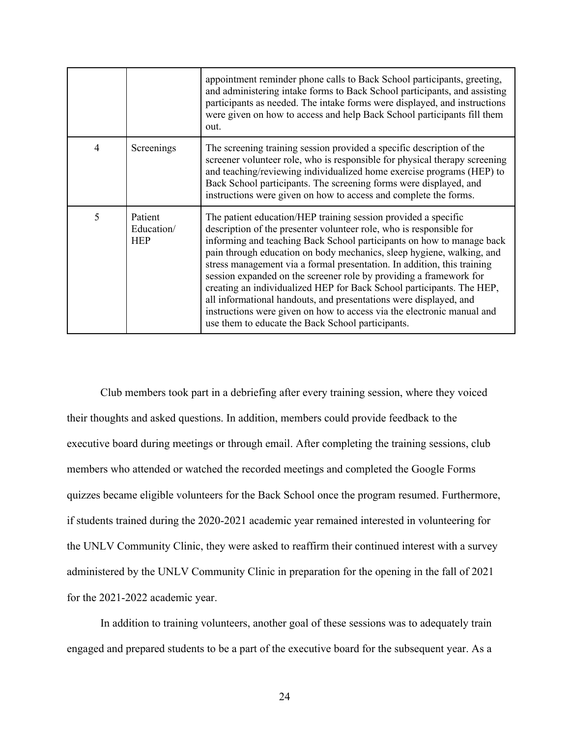|                |                                     | appointment reminder phone calls to Back School participants, greeting,<br>and administering intake forms to Back School participants, and assisting<br>participants as needed. The intake forms were displayed, and instructions<br>were given on how to access and help Back School participants fill them<br>out.                                                                                                                                                                                                                                                                                                                                                                                                  |  |
|----------------|-------------------------------------|-----------------------------------------------------------------------------------------------------------------------------------------------------------------------------------------------------------------------------------------------------------------------------------------------------------------------------------------------------------------------------------------------------------------------------------------------------------------------------------------------------------------------------------------------------------------------------------------------------------------------------------------------------------------------------------------------------------------------|--|
| $\overline{4}$ | Screenings                          | The screening training session provided a specific description of the<br>screener volunteer role, who is responsible for physical therapy screening<br>and teaching/reviewing individualized home exercise programs (HEP) to<br>Back School participants. The screening forms were displayed, and<br>instructions were given on how to access and complete the forms.                                                                                                                                                                                                                                                                                                                                                 |  |
| 5              | Patient<br>Education/<br><b>HEP</b> | The patient education/HEP training session provided a specific<br>description of the presenter volunteer role, who is responsible for<br>informing and teaching Back School participants on how to manage back<br>pain through education on body mechanics, sleep hygiene, walking, and<br>stress management via a formal presentation. In addition, this training<br>session expanded on the screener role by providing a framework for<br>creating an individualized HEP for Back School participants. The HEP,<br>all informational handouts, and presentations were displayed, and<br>instructions were given on how to access via the electronic manual and<br>use them to educate the Back School participants. |  |

Club members took part in a debriefing after every training session, where they voiced their thoughts and asked questions. In addition, members could provide feedback to the executive board during meetings or through email. After completing the training sessions, club members who attended or watched the recorded meetings and completed the Google Forms quizzes became eligible volunteers for the Back School once the program resumed. Furthermore, if students trained during the 2020-2021 academic year remained interested in volunteering for the UNLV Community Clinic, they were asked to reaffirm their continued interest with a survey administered by the UNLV Community Clinic in preparation for the opening in the fall of 2021 for the 2021-2022 academic year.

In addition to training volunteers, another goal of these sessions was to adequately train engaged and prepared students to be a part of the executive board for the subsequent year. As a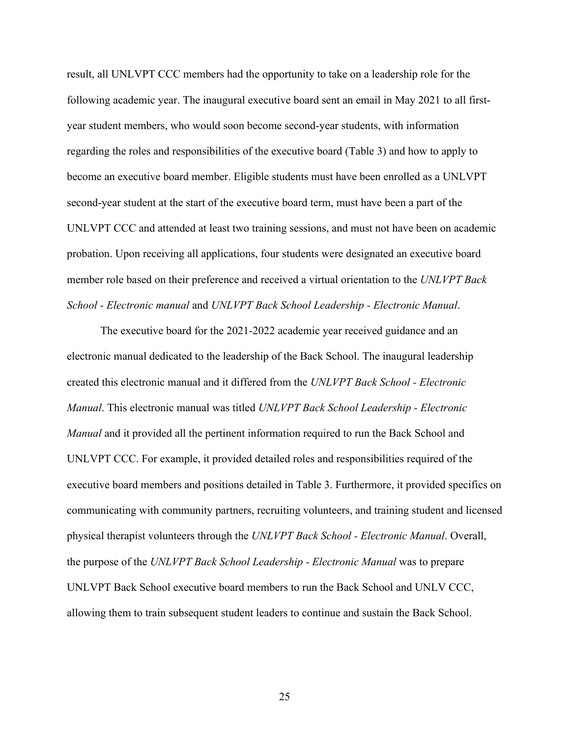result, all UNLVPT CCC members had the opportunity to take on a leadership role for the following academic year. The inaugural executive board sent an email in May 2021 to all firstyear student members, who would soon become second-year students, with information regarding the roles and responsibilities of the executive board (Table 3) and how to apply to become an executive board member. Eligible students must have been enrolled as a UNLVPT second-year student at the start of the executive board term, must have been a part of the UNLVPT CCC and attended at least two training sessions, and must not have been on academic probation. Upon receiving all applications, four students were designated an executive board member role based on their preference and received a virtual orientation to the *UNLVPT Back School - Electronic manual* and *UNLVPT Back School Leadership - Electronic Manual*.

The executive board for the 2021-2022 academic year received guidance and an electronic manual dedicated to the leadership of the Back School. The inaugural leadership created this electronic manual and it differed from the *UNLVPT Back School - Electronic Manual*. This electronic manual was titled *UNLVPT Back School Leadership - Electronic Manual* and it provided all the pertinent information required to run the Back School and UNLVPT CCC. For example, it provided detailed roles and responsibilities required of the executive board members and positions detailed in Table 3. Furthermore, it provided specifics on communicating with community partners, recruiting volunteers, and training student and licensed physical therapist volunteers through the *UNLVPT Back School - Electronic Manual*. Overall, the purpose of the *UNLVPT Back School Leadership - Electronic Manual* was to prepare UNLVPT Back School executive board members to run the Back School and UNLV CCC, allowing them to train subsequent student leaders to continue and sustain the Back School.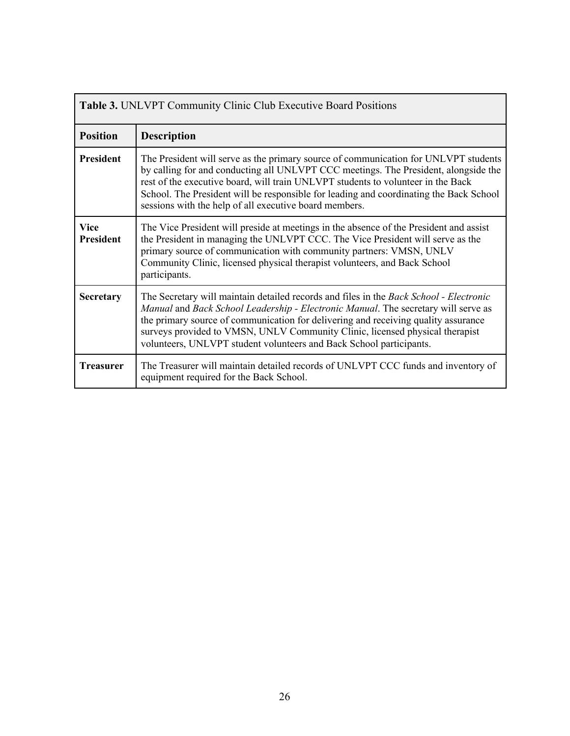| <b>Table 3. UNLVPT Community Clinic Club Executive Board Positions</b> |                                                                                                                                                                                                                                                                                                                                                                                                                           |  |  |
|------------------------------------------------------------------------|---------------------------------------------------------------------------------------------------------------------------------------------------------------------------------------------------------------------------------------------------------------------------------------------------------------------------------------------------------------------------------------------------------------------------|--|--|
| <b>Position</b>                                                        | <b>Description</b>                                                                                                                                                                                                                                                                                                                                                                                                        |  |  |
| <b>President</b>                                                       | The President will serve as the primary source of communication for UNLVPT students<br>by calling for and conducting all UNLVPT CCC meetings. The President, alongside the<br>rest of the executive board, will train UNLVPT students to volunteer in the Back<br>School. The President will be responsible for leading and coordinating the Back School<br>sessions with the help of all executive board members.        |  |  |
| <b>Vice</b><br><b>President</b>                                        | The Vice President will preside at meetings in the absence of the President and assist<br>the President in managing the UNLVPT CCC. The Vice President will serve as the<br>primary source of communication with community partners: VMSN, UNLV<br>Community Clinic, licensed physical therapist volunteers, and Back School<br>participants.                                                                             |  |  |
| <b>Secretary</b>                                                       | The Secretary will maintain detailed records and files in the Back School - Electronic<br>Manual and Back School Leadership - Electronic Manual. The secretary will serve as<br>the primary source of communication for delivering and receiving quality assurance<br>surveys provided to VMSN, UNLV Community Clinic, licensed physical therapist<br>volunteers, UNLVPT student volunteers and Back School participants. |  |  |
| <b>Treasurer</b>                                                       | The Treasurer will maintain detailed records of UNLVPT CCC funds and inventory of<br>equipment required for the Back School.                                                                                                                                                                                                                                                                                              |  |  |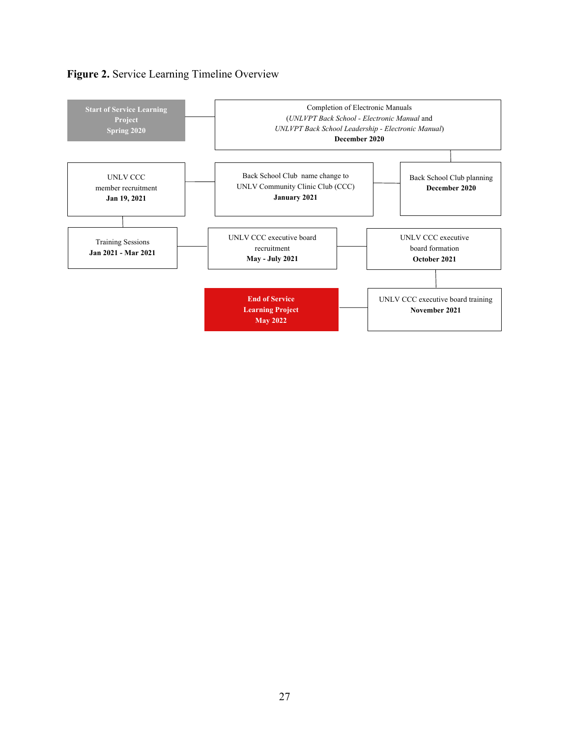

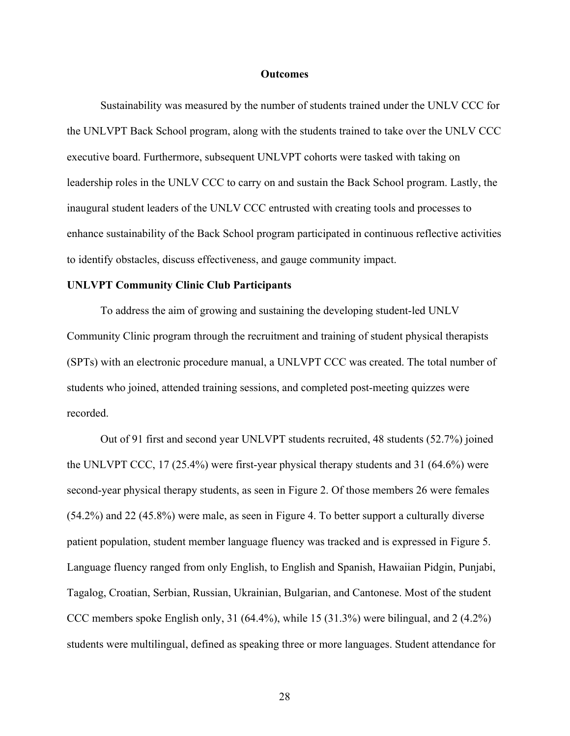#### **Outcomes**

Sustainability was measured by the number of students trained under the UNLV CCC for the UNLVPT Back School program, along with the students trained to take over the UNLV CCC executive board. Furthermore, subsequent UNLVPT cohorts were tasked with taking on leadership roles in the UNLV CCC to carry on and sustain the Back School program. Lastly, the inaugural student leaders of the UNLV CCC entrusted with creating tools and processes to enhance sustainability of the Back School program participated in continuous reflective activities to identify obstacles, discuss effectiveness, and gauge community impact.

#### **UNLVPT Community Clinic Club Participants**

To address the aim of growing and sustaining the developing student-led UNLV Community Clinic program through the recruitment and training of student physical therapists (SPTs) with an electronic procedure manual, a UNLVPT CCC was created. The total number of students who joined, attended training sessions, and completed post-meeting quizzes were recorded.

Out of 91 first and second year UNLVPT students recruited, 48 students (52.7%) joined the UNLVPT CCC, 17 (25.4%) were first-year physical therapy students and 31 (64.6%) were second-year physical therapy students, as seen in Figure 2. Of those members 26 were females (54.2%) and 22 (45.8%) were male, as seen in Figure 4. To better support a culturally diverse patient population, student member language fluency was tracked and is expressed in Figure 5. Language fluency ranged from only English, to English and Spanish, Hawaiian Pidgin, Punjabi, Tagalog, Croatian, Serbian, Russian, Ukrainian, Bulgarian, and Cantonese. Most of the student CCC members spoke English only, 31 (64.4%), while 15 (31.3%) were bilingual, and 2 (4.2%) students were multilingual, defined as speaking three or more languages. Student attendance for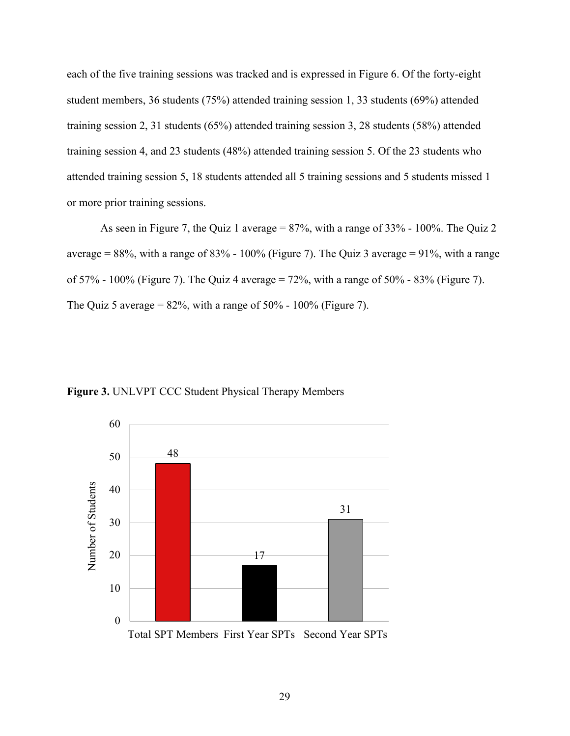each of the five training sessions was tracked and is expressed in Figure 6. Of the forty-eight student members, 36 students (75%) attended training session 1, 33 students (69%) attended training session 2, 31 students (65%) attended training session 3, 28 students (58%) attended training session 4, and 23 students (48%) attended training session 5. Of the 23 students who attended training session 5, 18 students attended all 5 training sessions and 5 students missed 1 or more prior training sessions.

As seen in Figure 7, the Quiz 1 average = 87%, with a range of 33% - 100%. The Quiz 2 average =  $88\%$ , with a range of  $83\%$  -  $100\%$  (Figure 7). The Quiz 3 average = 91%, with a range of 57% - 100% (Figure 7). The Quiz 4 average = 72%, with a range of 50% - 83% (Figure 7). The Quiz 5 average =  $82\%$ , with a range of  $50\%$  -  $100\%$  (Figure 7).



**Figure 3.** UNLVPT CCC Student Physical Therapy Members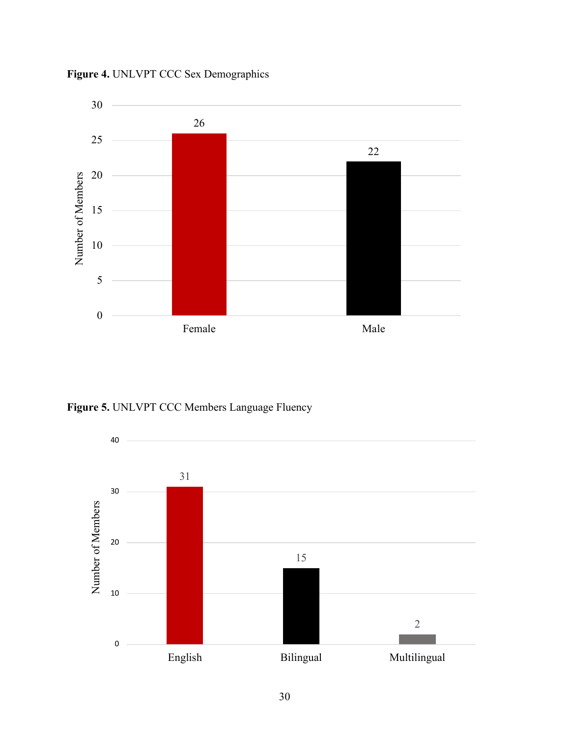

**Figure 4.** UNLVPT CCC Sex Demographics

**Figure 5.** UNLVPT CCC Members Language Fluency

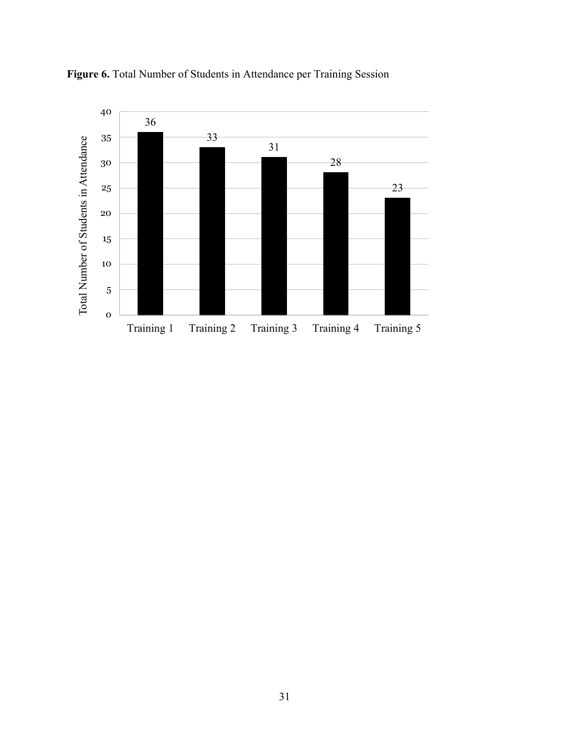

**Figure 6.** Total Number of Students in Attendance per Training Session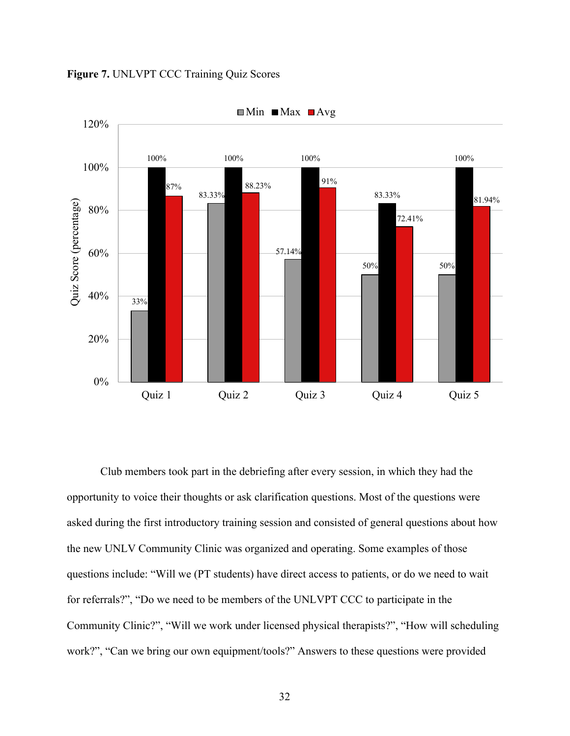



Club members took part in the debriefing after every session, in which they had the opportunity to voice their thoughts or ask clarification questions. Most of the questions were asked during the first introductory training session and consisted of general questions about how the new UNLV Community Clinic was organized and operating. Some examples of those questions include: "Will we (PT students) have direct access to patients, or do we need to wait for referrals?", "Do we need to be members of the UNLVPT CCC to participate in the Community Clinic?", "Will we work under licensed physical therapists?", "How will scheduling work?", "Can we bring our own equipment/tools?" Answers to these questions were provided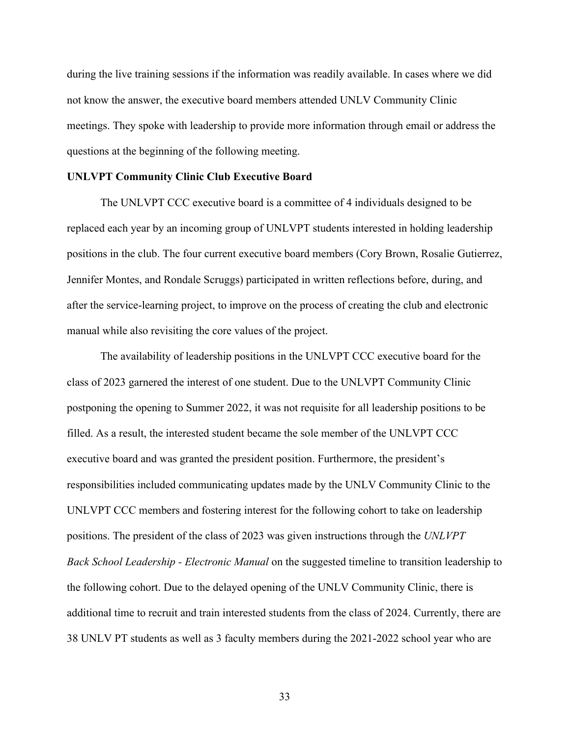during the live training sessions if the information was readily available. In cases where we did not know the answer, the executive board members attended UNLV Community Clinic meetings. They spoke with leadership to provide more information through email or address the questions at the beginning of the following meeting.

#### **UNLVPT Community Clinic Club Executive Board**

The UNLVPT CCC executive board is a committee of 4 individuals designed to be replaced each year by an incoming group of UNLVPT students interested in holding leadership positions in the club. The four current executive board members (Cory Brown, Rosalie Gutierrez, Jennifer Montes, and Rondale Scruggs) participated in written reflections before, during, and after the service-learning project, to improve on the process of creating the club and electronic manual while also revisiting the core values of the project.

The availability of leadership positions in the UNLVPT CCC executive board for the class of 2023 garnered the interest of one student. Due to the UNLVPT Community Clinic postponing the opening to Summer 2022, it was not requisite for all leadership positions to be filled. As a result, the interested student became the sole member of the UNLVPT CCC executive board and was granted the president position. Furthermore, the president's responsibilities included communicating updates made by the UNLV Community Clinic to the UNLVPT CCC members and fostering interest for the following cohort to take on leadership positions. The president of the class of 2023 was given instructions through the *UNLVPT Back School Leadership - Electronic Manual* on the suggested timeline to transition leadership to the following cohort. Due to the delayed opening of the UNLV Community Clinic, there is additional time to recruit and train interested students from the class of 2024. Currently, there are 38 UNLV PT students as well as 3 faculty members during the 2021-2022 school year who are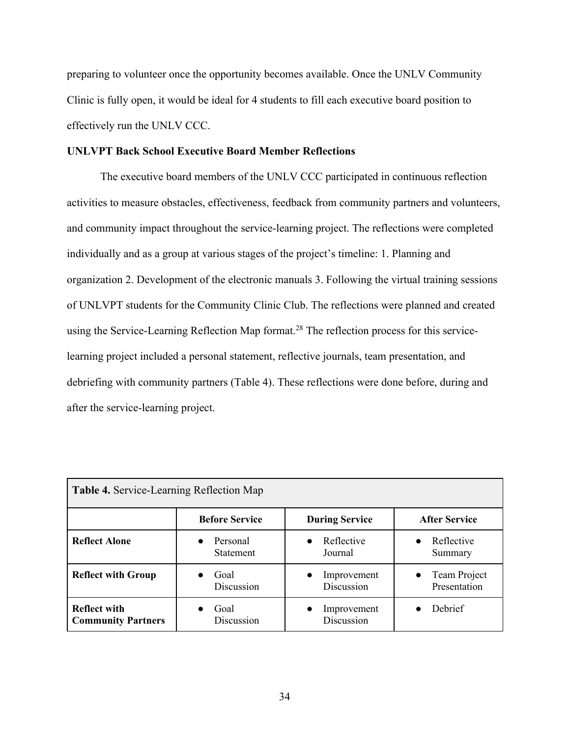preparing to volunteer once the opportunity becomes available. Once the UNLV Community Clinic is fully open, it would be ideal for 4 students to fill each executive board position to effectively run the UNLV CCC.

#### **UNLVPT Back School Executive Board Member Reflections**

The executive board members of the UNLV CCC participated in continuous reflection activities to measure obstacles, effectiveness, feedback from community partners and volunteers, and community impact throughout the service-learning project. The reflections were completed individually and as a group at various stages of the project's timeline: 1. Planning and organization 2. Development of the electronic manuals 3. Following the virtual training sessions of UNLVPT students for the Community Clinic Club. The reflections were planned and created using the Service-Learning Reflection Map format.<sup>28</sup> The reflection process for this servicelearning project included a personal statement, reflective journals, team presentation, and debriefing with community partners (Table 4). These reflections were done before, during and after the service-learning project.

| <b>Table 4. Service-Learning Reflection Map</b>  |                              |                                        |                                           |  |
|--------------------------------------------------|------------------------------|----------------------------------------|-------------------------------------------|--|
|                                                  | <b>Before Service</b>        | <b>During Service</b>                  | <b>After Service</b>                      |  |
| <b>Reflect Alone</b>                             | Personal<br><b>Statement</b> | Reflective<br>$\bullet$<br>Journal     | Reflective<br>Summary                     |  |
| <b>Reflect with Group</b>                        | Goal<br>Discussion           | Improvement<br>$\bullet$<br>Discussion | Team Project<br>$\bullet$<br>Presentation |  |
| <b>Reflect with</b><br><b>Community Partners</b> | Goal<br>Discussion           | Improvement<br>$\bullet$<br>Discussion | Debrief                                   |  |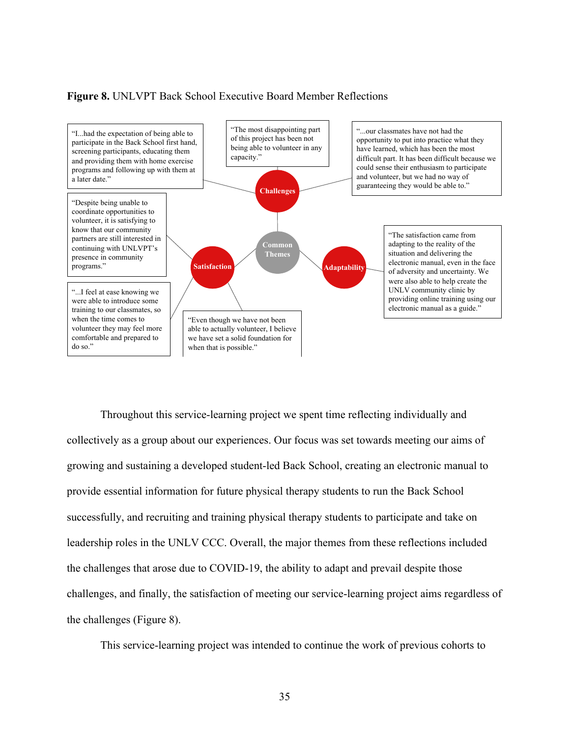#### **Figure 8.** UNLVPT Back School Executive Board Member Reflections



Throughout this service-learning project we spent time reflecting individually and collectively as a group about our experiences. Our focus was set towards meeting our aims of growing and sustaining a developed student-led Back School, creating an electronic manual to provide essential information for future physical therapy students to run the Back School successfully, and recruiting and training physical therapy students to participate and take on leadership roles in the UNLV CCC. Overall, the major themes from these reflections included the challenges that arose due to COVID-19, the ability to adapt and prevail despite those challenges, and finally, the satisfaction of meeting our service-learning project aims regardless of the challenges (Figure 8).

This service-learning project was intended to continue the work of previous cohorts to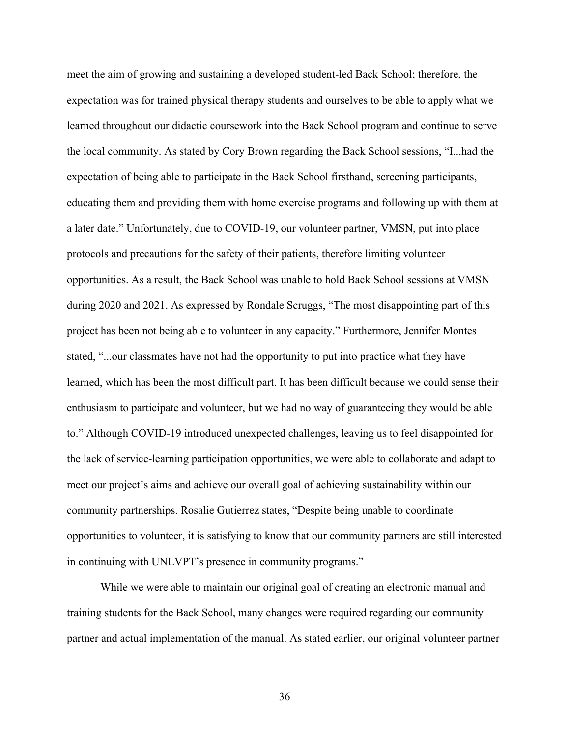meet the aim of growing and sustaining a developed student-led Back School; therefore, the expectation was for trained physical therapy students and ourselves to be able to apply what we learned throughout our didactic coursework into the Back School program and continue to serve the local community. As stated by Cory Brown regarding the Back School sessions, "I...had the expectation of being able to participate in the Back School firsthand, screening participants, educating them and providing them with home exercise programs and following up with them at a later date." Unfortunately, due to COVID-19, our volunteer partner, VMSN, put into place protocols and precautions for the safety of their patients, therefore limiting volunteer opportunities. As a result, the Back School was unable to hold Back School sessions at VMSN during 2020 and 2021. As expressed by Rondale Scruggs, "The most disappointing part of this project has been not being able to volunteer in any capacity." Furthermore, Jennifer Montes stated, "...our classmates have not had the opportunity to put into practice what they have learned, which has been the most difficult part. It has been difficult because we could sense their enthusiasm to participate and volunteer, but we had no way of guaranteeing they would be able to." Although COVID-19 introduced unexpected challenges, leaving us to feel disappointed for the lack of service-learning participation opportunities, we were able to collaborate and adapt to meet our project's aims and achieve our overall goal of achieving sustainability within our community partnerships. Rosalie Gutierrez states, "Despite being unable to coordinate opportunities to volunteer, it is satisfying to know that our community partners are still interested in continuing with UNLVPT's presence in community programs."

While we were able to maintain our original goal of creating an electronic manual and training students for the Back School, many changes were required regarding our community partner and actual implementation of the manual. As stated earlier, our original volunteer partner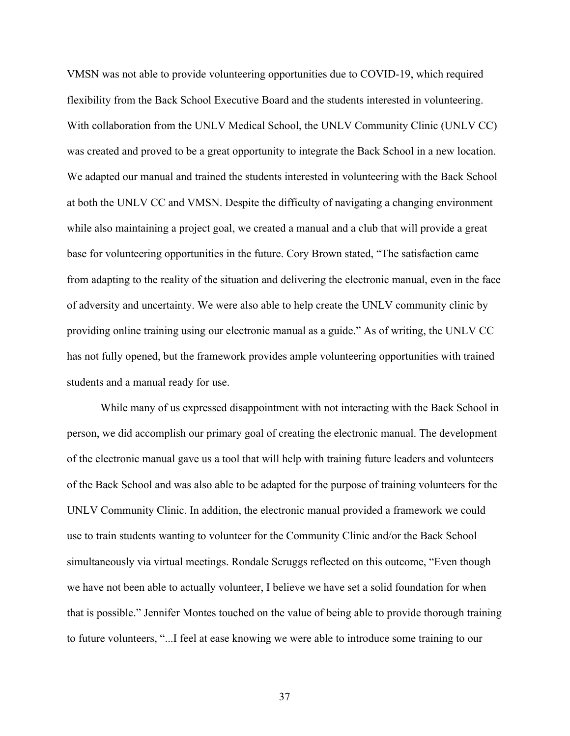VMSN was not able to provide volunteering opportunities due to COVID-19, which required flexibility from the Back School Executive Board and the students interested in volunteering. With collaboration from the UNLV Medical School, the UNLV Community Clinic (UNLV CC) was created and proved to be a great opportunity to integrate the Back School in a new location. We adapted our manual and trained the students interested in volunteering with the Back School at both the UNLV CC and VMSN. Despite the difficulty of navigating a changing environment while also maintaining a project goal, we created a manual and a club that will provide a great base for volunteering opportunities in the future. Cory Brown stated, "The satisfaction came from adapting to the reality of the situation and delivering the electronic manual, even in the face of adversity and uncertainty. We were also able to help create the UNLV community clinic by providing online training using our electronic manual as a guide." As of writing, the UNLV CC has not fully opened, but the framework provides ample volunteering opportunities with trained students and a manual ready for use.

While many of us expressed disappointment with not interacting with the Back School in person, we did accomplish our primary goal of creating the electronic manual. The development of the electronic manual gave us a tool that will help with training future leaders and volunteers of the Back School and was also able to be adapted for the purpose of training volunteers for the UNLV Community Clinic. In addition, the electronic manual provided a framework we could use to train students wanting to volunteer for the Community Clinic and/or the Back School simultaneously via virtual meetings. Rondale Scruggs reflected on this outcome, "Even though we have not been able to actually volunteer, I believe we have set a solid foundation for when that is possible." Jennifer Montes touched on the value of being able to provide thorough training to future volunteers, "...I feel at ease knowing we were able to introduce some training to our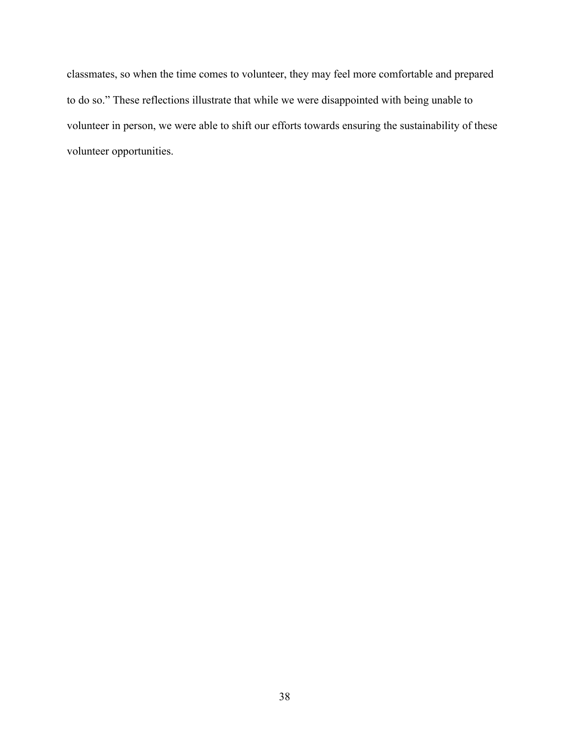classmates, so when the time comes to volunteer, they may feel more comfortable and prepared to do so." These reflections illustrate that while we were disappointed with being unable to volunteer in person, we were able to shift our efforts towards ensuring the sustainability of these volunteer opportunities.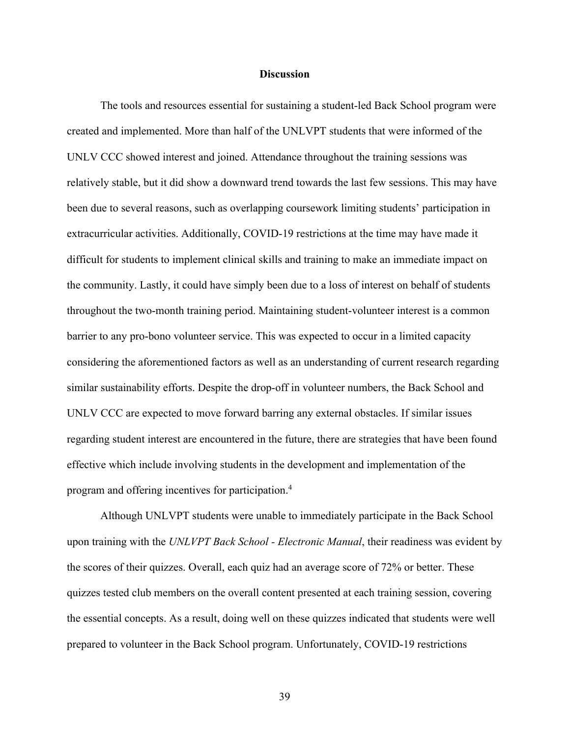#### **Discussion**

The tools and resources essential for sustaining a student-led Back School program were created and implemented. More than half of the UNLVPT students that were informed of the UNLV CCC showed interest and joined. Attendance throughout the training sessions was relatively stable, but it did show a downward trend towards the last few sessions. This may have been due to several reasons, such as overlapping coursework limiting students' participation in extracurricular activities. Additionally, COVID-19 restrictions at the time may have made it difficult for students to implement clinical skills and training to make an immediate impact on the community. Lastly, it could have simply been due to a loss of interest on behalf of students throughout the two-month training period. Maintaining student-volunteer interest is a common barrier to any pro-bono volunteer service. This was expected to occur in a limited capacity considering the aforementioned factors as well as an understanding of current research regarding similar sustainability efforts. Despite the drop-off in volunteer numbers, the Back School and UNLV CCC are expected to move forward barring any external obstacles. If similar issues regarding student interest are encountered in the future, there are strategies that have been found effective which include involving students in the development and implementation of the program and offering incentives for participation.4

Although UNLVPT students were unable to immediately participate in the Back School upon training with the *UNLVPT Back School - Electronic Manual*, their readiness was evident by the scores of their quizzes. Overall, each quiz had an average score of 72% or better. These quizzes tested club members on the overall content presented at each training session, covering the essential concepts. As a result, doing well on these quizzes indicated that students were well prepared to volunteer in the Back School program. Unfortunately, COVID-19 restrictions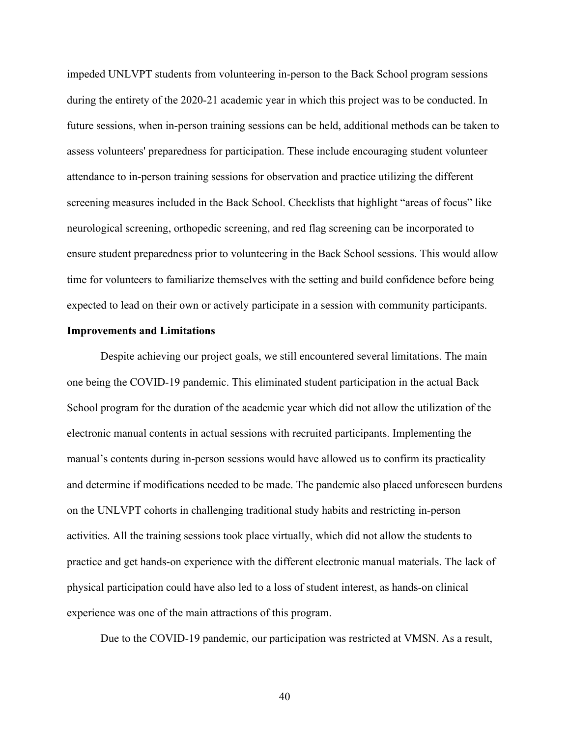impeded UNLVPT students from volunteering in-person to the Back School program sessions during the entirety of the 2020-21 academic year in which this project was to be conducted. In future sessions, when in-person training sessions can be held, additional methods can be taken to assess volunteers' preparedness for participation. These include encouraging student volunteer attendance to in-person training sessions for observation and practice utilizing the different screening measures included in the Back School. Checklists that highlight "areas of focus" like neurological screening, orthopedic screening, and red flag screening can be incorporated to ensure student preparedness prior to volunteering in the Back School sessions. This would allow time for volunteers to familiarize themselves with the setting and build confidence before being expected to lead on their own or actively participate in a session with community participants.

#### **Improvements and Limitations**

Despite achieving our project goals, we still encountered several limitations. The main one being the COVID-19 pandemic. This eliminated student participation in the actual Back School program for the duration of the academic year which did not allow the utilization of the electronic manual contents in actual sessions with recruited participants. Implementing the manual's contents during in-person sessions would have allowed us to confirm its practicality and determine if modifications needed to be made. The pandemic also placed unforeseen burdens on the UNLVPT cohorts in challenging traditional study habits and restricting in-person activities. All the training sessions took place virtually, which did not allow the students to practice and get hands-on experience with the different electronic manual materials. The lack of physical participation could have also led to a loss of student interest, as hands-on clinical experience was one of the main attractions of this program.

Due to the COVID-19 pandemic, our participation was restricted at VMSN. As a result,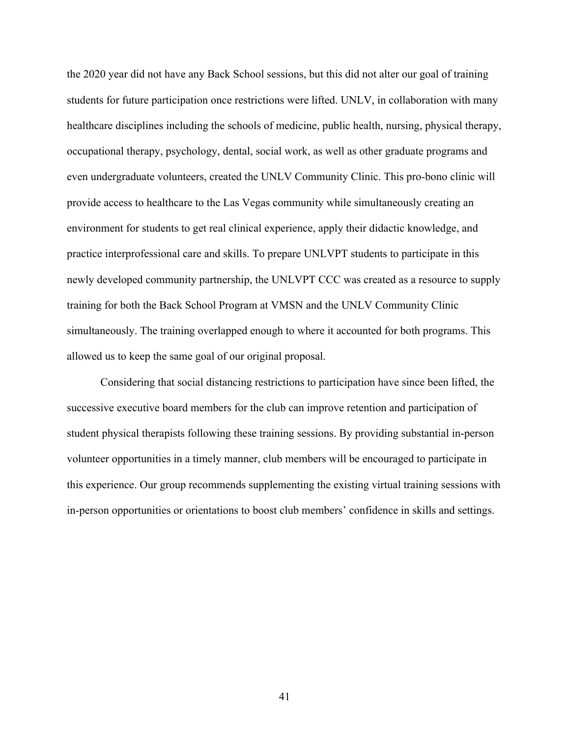the 2020 year did not have any Back School sessions, but this did not alter our goal of training students for future participation once restrictions were lifted. UNLV, in collaboration with many healthcare disciplines including the schools of medicine, public health, nursing, physical therapy, occupational therapy, psychology, dental, social work, as well as other graduate programs and even undergraduate volunteers, created the UNLV Community Clinic. This pro-bono clinic will provide access to healthcare to the Las Vegas community while simultaneously creating an environment for students to get real clinical experience, apply their didactic knowledge, and practice interprofessional care and skills. To prepare UNLVPT students to participate in this newly developed community partnership, the UNLVPT CCC was created as a resource to supply training for both the Back School Program at VMSN and the UNLV Community Clinic simultaneously. The training overlapped enough to where it accounted for both programs. This allowed us to keep the same goal of our original proposal.

Considering that social distancing restrictions to participation have since been lifted, the successive executive board members for the club can improve retention and participation of student physical therapists following these training sessions. By providing substantial in-person volunteer opportunities in a timely manner, club members will be encouraged to participate in this experience. Our group recommends supplementing the existing virtual training sessions with in-person opportunities or orientations to boost club members' confidence in skills and settings.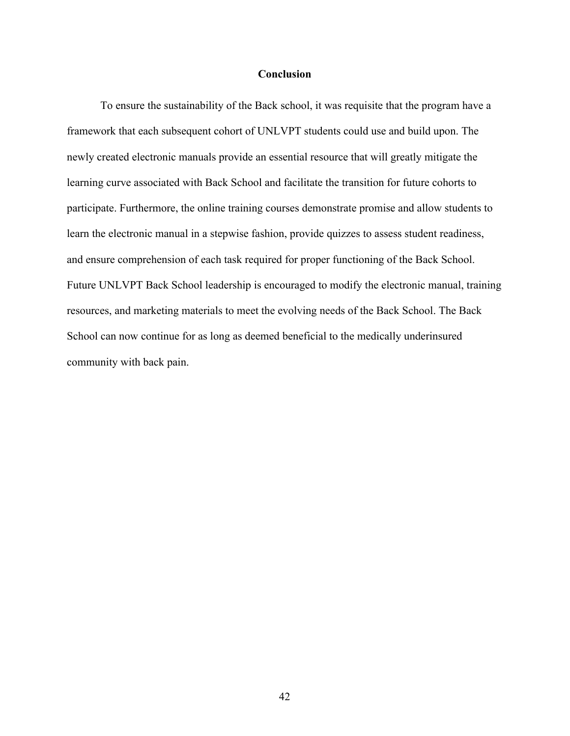#### **Conclusion**

To ensure the sustainability of the Back school, it was requisite that the program have a framework that each subsequent cohort of UNLVPT students could use and build upon. The newly created electronic manuals provide an essential resource that will greatly mitigate the learning curve associated with Back School and facilitate the transition for future cohorts to participate. Furthermore, the online training courses demonstrate promise and allow students to learn the electronic manual in a stepwise fashion, provide quizzes to assess student readiness, and ensure comprehension of each task required for proper functioning of the Back School. Future UNLVPT Back School leadership is encouraged to modify the electronic manual, training resources, and marketing materials to meet the evolving needs of the Back School. The Back School can now continue for as long as deemed beneficial to the medically underinsured community with back pain.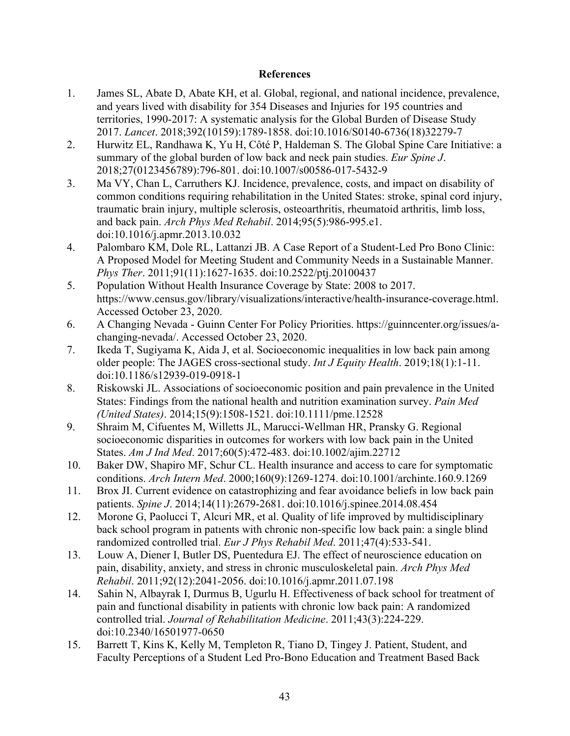#### **References**

- 1. James SL, Abate D, Abate KH, et al. Global, regional, and national incidence, prevalence, and years lived with disability for 354 Diseases and Injuries for 195 countries and territories, 1990-2017: A systematic analysis for the Global Burden of Disease Study 2017. *Lancet*. 2018;392(10159):1789-1858. doi:10.1016/S0140-6736(18)32279-7
- 2. Hurwitz EL, Randhawa K, Yu H, Côté P, Haldeman S. The Global Spine Care Initiative: a summary of the global burden of low back and neck pain studies. *Eur Spine J*. 2018;27(0123456789):796-801. doi:10.1007/s00586-017-5432-9
- 3. Ma VY, Chan L, Carruthers KJ. Incidence, prevalence, costs, and impact on disability of common conditions requiring rehabilitation in the United States: stroke, spinal cord injury, traumatic brain injury, multiple sclerosis, osteoarthritis, rheumatoid arthritis, limb loss, and back pain. *Arch Phys Med Rehabil*. 2014;95(5):986-995.e1. doi:10.1016/j.apmr.2013.10.032
- 4. Palombaro KM, Dole RL, Lattanzi JB. A Case Report of a Student-Led Pro Bono Clinic: A Proposed Model for Meeting Student and Community Needs in a Sustainable Manner. *Phys Ther*. 2011;91(11):1627-1635. doi:10.2522/ptj.20100437
- 5. Population Without Health Insurance Coverage by State: 2008 to 2017. https://www.census.gov/library/visualizations/interactive/health-insurance-coverage.html. Accessed October 23, 2020.
- 6. A Changing Nevada Guinn Center For Policy Priorities. https://guinncenter.org/issues/achanging-nevada/. Accessed October 23, 2020.
- 7. Ikeda T, Sugiyama K, Aida J, et al. Socioeconomic inequalities in low back pain among older people: The JAGES cross-sectional study. *Int J Equity Health*. 2019;18(1):1-11. doi:10.1186/s12939-019-0918-1
- 8. Riskowski JL. Associations of socioeconomic position and pain prevalence in the United States: Findings from the national health and nutrition examination survey. *Pain Med (United States)*. 2014;15(9):1508-1521. doi:10.1111/pme.12528
- 9. Shraim M, Cifuentes M, Willetts JL, Marucci-Wellman HR, Pransky G. Regional socioeconomic disparities in outcomes for workers with low back pain in the United States. *Am J Ind Med*. 2017;60(5):472-483. doi:10.1002/ajim.22712
- 10. Baker DW, Shapiro MF, Schur CL. Health insurance and access to care for symptomatic conditions. *Arch Intern Med*. 2000;160(9):1269-1274. doi:10.1001/archinte.160.9.1269
- 11. Brox JI. Current evidence on catastrophizing and fear avoidance beliefs in low back pain patients. *Spine J*. 2014;14(11):2679-2681. doi:10.1016/j.spinee.2014.08.454
- 12. Morone G, Paolucci T, Alcuri MR, et al. Quality of life improved by multidisciplinary back school program in patıents with chronic non-specific low back pain: a single blind randomized controlled trial. *Eur J Phys Rehabil Med*. 2011;47(4):533-541.
- 13. Louw A, Diener I, Butler DS, Puentedura EJ. The effect of neuroscience education on pain, disability, anxiety, and stress in chronic musculoskeletal pain. *Arch Phys Med Rehabil*. 2011;92(12):2041-2056. doi:10.1016/j.apmr.2011.07.198
- 14. Sahin N, Albayrak I, Durmus B, Ugurlu H. Effectiveness of back school for treatment of pain and functional disability in patients with chronic low back pain: A randomized controlled trial. *Journal of Rehabilitation Medicine*. 2011;43(3):224-229. doi:10.2340/16501977-0650
- 15. Barrett T, Kins K, Kelly M, Templeton R, Tiano D, Tingey J. Patient, Student, and Faculty Perceptions of a Student Led Pro-Bono Education and Treatment Based Back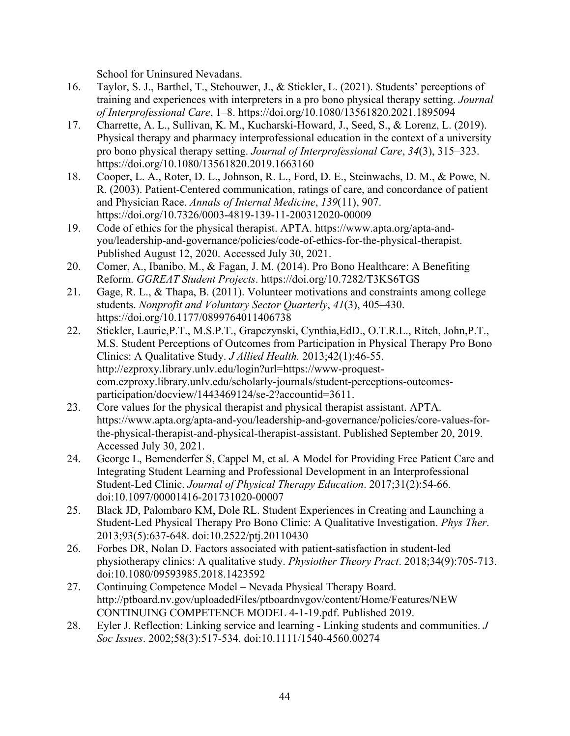School for Uninsured Nevadans.

- 16. Taylor, S. J., Barthel, T., Stehouwer, J., & Stickler, L. (2021). Students' perceptions of training and experiences with interpreters in a pro bono physical therapy setting. *Journal of Interprofessional Care*, 1–8. https://doi.org/10.1080/13561820.2021.1895094
- 17. Charrette, A. L., Sullivan, K. M., Kucharski-Howard, J., Seed, S., & Lorenz, L. (2019). Physical therapy and pharmacy interprofessional education in the context of a university pro bono physical therapy setting. *Journal of Interprofessional Care*, *34*(3), 315–323. https://doi.org/10.1080/13561820.2019.1663160
- 18. Cooper, L. A., Roter, D. L., Johnson, R. L., Ford, D. E., Steinwachs, D. M., & Powe, N. R. (2003). Patient-Centered communication, ratings of care, and concordance of patient and Physician Race. *Annals of Internal Medicine*, *139*(11), 907. https://doi.org/10.7326/0003-4819-139-11-200312020-00009
- 19. Code of ethics for the physical therapist. APTA. https://www.apta.org/apta-andyou/leadership-and-governance/policies/code-of-ethics-for-the-physical-therapist. Published August 12, 2020. Accessed July 30, 2021.
- 20. Comer, A., Ibanibo, M., & Fagan, J. M. (2014). Pro Bono Healthcare: A Benefiting Reform. *GGREAT Student Projects*. https://doi.org/10.7282/T3KS6TGS
- 21. Gage, R. L., & Thapa, B. (2011). Volunteer motivations and constraints among college students. *Nonprofit and Voluntary Sector Quarterly*, *41*(3), 405–430. https://doi.org/10.1177/0899764011406738
- 22. Stickler, Laurie,P.T., M.S.P.T., Grapczynski, Cynthia,EdD., O.T.R.L., Ritch, John,P.T., M.S. Student Perceptions of Outcomes from Participation in Physical Therapy Pro Bono Clinics: A Qualitative Study. *J Allied Health.* 2013;42(1):46-55. http://ezproxy.library.unlv.edu/login?url=https://www-proquestcom.ezproxy.library.unlv.edu/scholarly-journals/student-perceptions-outcomesparticipation/docview/1443469124/se-2?accountid=3611.
- 23. Core values for the physical therapist and physical therapist assistant. APTA. https://www.apta.org/apta-and-you/leadership-and-governance/policies/core-values-forthe-physical-therapist-and-physical-therapist-assistant. Published September 20, 2019. Accessed July 30, 2021.
- 24. George L, Bemenderfer S, Cappel M, et al. A Model for Providing Free Patient Care and Integrating Student Learning and Professional Development in an Interprofessional Student-Led Clinic. *Journal of Physical Therapy Education*. 2017;31(2):54-66. doi:10.1097/00001416-201731020-00007
- 25. Black JD, Palombaro KM, Dole RL. Student Experiences in Creating and Launching a Student-Led Physical Therapy Pro Bono Clinic: A Qualitative Investigation. *Phys Ther*. 2013;93(5):637-648. doi:10.2522/ptj.20110430
- 26. Forbes DR, Nolan D. Factors associated with patient-satisfaction in student-led physiotherapy clinics: A qualitative study. *Physiother Theory Pract*. 2018;34(9):705-713. doi:10.1080/09593985.2018.1423592
- 27. Continuing Competence Model Nevada Physical Therapy Board. http://ptboard.nv.gov/uploadedFiles/ptboardnvgov/content/Home/Features/NEW CONTINUING COMPETENCE MODEL 4-1-19.pdf. Published 2019.
- 28. Eyler J. Reflection: Linking service and learning Linking students and communities. *J Soc Issues*. 2002;58(3):517-534. doi:10.1111/1540-4560.00274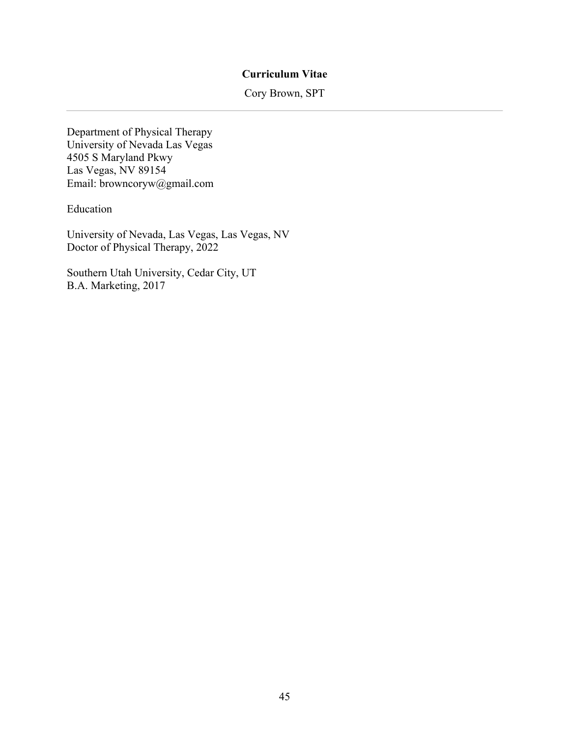#### **Curriculum Vitae**

Cory Brown, SPT

Department of Physical Therapy University of Nevada Las Vegas 4505 S Maryland Pkwy Las Vegas, NV 89154 Email: browncoryw@gmail.com

Education

University of Nevada, Las Vegas, Las Vegas, NV Doctor of Physical Therapy, 2022

Southern Utah University, Cedar City, UT B.A. Marketing, 2017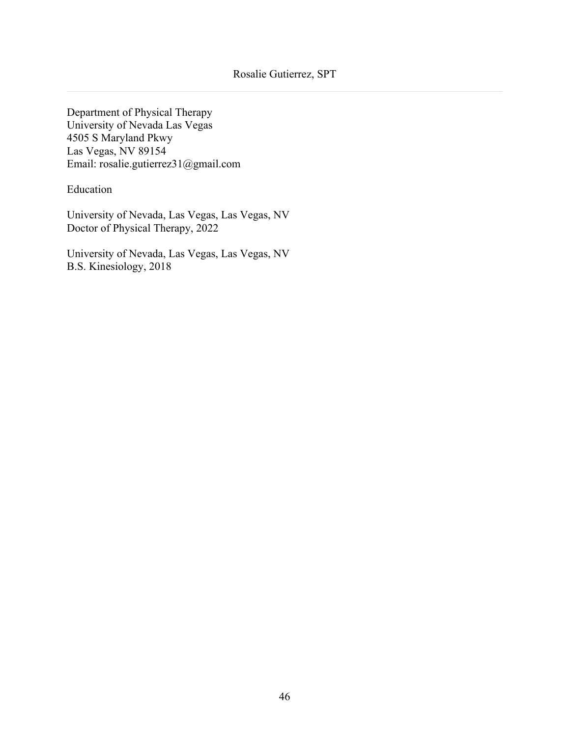Department of Physical Therapy University of Nevada Las Vegas 4505 S Maryland Pkwy Las Vegas, NV 89154 Email: rosalie.gutierrez31@gmail.com

Education

University of Nevada, Las Vegas, Las Vegas, NV Doctor of Physical Therapy, 2022

University of Nevada, Las Vegas, Las Vegas, NV B.S. Kinesiology, 2018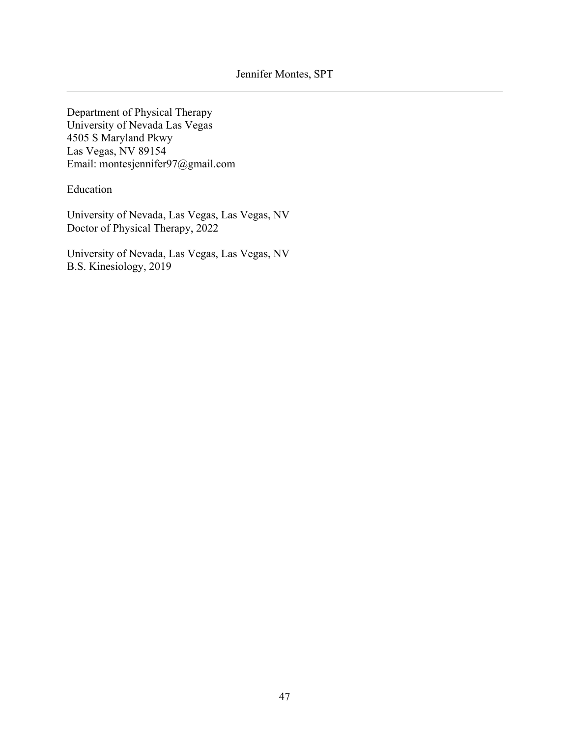Department of Physical Therapy University of Nevada Las Vegas 4505 S Maryland Pkwy Las Vegas, NV 89154 Email: montesjennifer97@gmail.com

Education

University of Nevada, Las Vegas, Las Vegas, NV Doctor of Physical Therapy, 2022

University of Nevada, Las Vegas, Las Vegas, NV B.S. Kinesiology, 2019